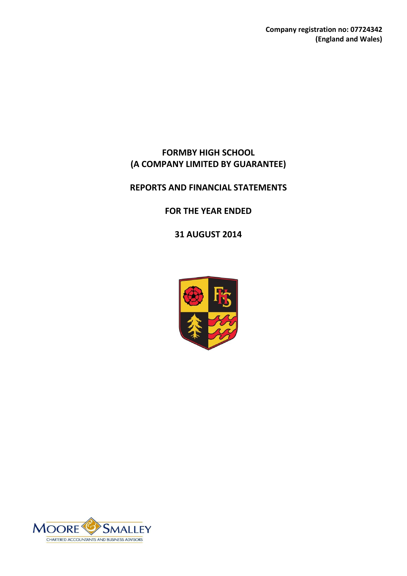**Company registration no: 07724342 (England and Wales)**

# **FORMBY HIGH SCHOOL (A COMPANY LIMITED BY GUARANTEE)**

# **REPORTS AND FINANCIAL STATEMENTS**

# **FOR THE YEAR ENDED**

**31 AUGUST 2014**



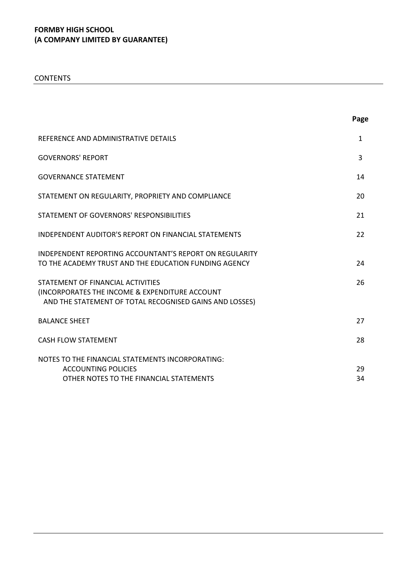CONTENTS

|                                                                                                                                                           | Page         |
|-----------------------------------------------------------------------------------------------------------------------------------------------------------|--------------|
| REFERENCE AND ADMINISTRATIVE DETAILS                                                                                                                      | $\mathbf{1}$ |
| <b>GOVERNORS' REPORT</b>                                                                                                                                  | 3            |
| <b>GOVERNANCE STATEMENT</b>                                                                                                                               | 14           |
| STATEMENT ON REGULARITY, PROPRIETY AND COMPLIANCE                                                                                                         | 20           |
| STATEMENT OF GOVERNORS' RESPONSIBILITIES                                                                                                                  | 21           |
| <b>INDEPENDENT AUDITOR'S REPORT ON FINANCIAL STATEMENTS</b>                                                                                               | 22           |
| <b>INDEPENDENT REPORTING ACCOUNTANT'S REPORT ON REGULARITY</b><br>TO THE ACADEMY TRUST AND THE EDUCATION FUNDING AGENCY                                   | 24           |
| STATEMENT OF FINANCIAL ACTIVITIES<br><b>(INCORPORATES THE INCOME &amp; EXPENDITURE ACCOUNT</b><br>AND THE STATEMENT OF TOTAL RECOGNISED GAINS AND LOSSES) | 26           |
| <b>BALANCE SHEET</b>                                                                                                                                      | 27           |
| <b>CASH FLOW STATEMENT</b>                                                                                                                                | 28           |
| NOTES TO THE FINANCIAL STATEMENTS INCORPORATING:<br><b>ACCOUNTING POLICIES</b><br>OTHER NOTES TO THE FINANCIAL STATEMENTS                                 | 29<br>34     |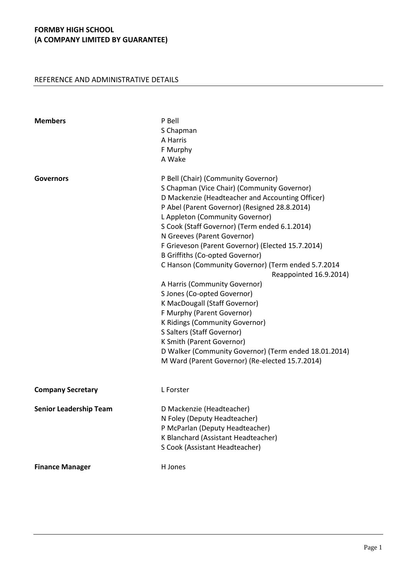# REFERENCE AND ADMINISTRATIVE DETAILS

| <b>Members</b>                | P Bell<br>S Chapman<br>A Harris<br>F Murphy<br>A Wake                                                                                                                                                                                                                                                                                                                                                                                                                                                                                                                                                                                                                                                                                                                                                                             |
|-------------------------------|-----------------------------------------------------------------------------------------------------------------------------------------------------------------------------------------------------------------------------------------------------------------------------------------------------------------------------------------------------------------------------------------------------------------------------------------------------------------------------------------------------------------------------------------------------------------------------------------------------------------------------------------------------------------------------------------------------------------------------------------------------------------------------------------------------------------------------------|
| <b>Governors</b>              | P Bell (Chair) (Community Governor)<br>S Chapman (Vice Chair) (Community Governor)<br>D Mackenzie (Headteacher and Accounting Officer)<br>P Abel (Parent Governor) (Resigned 28.8.2014)<br>L Appleton (Community Governor)<br>S Cook (Staff Governor) (Term ended 6.1.2014)<br>N Greeves (Parent Governor)<br>F Grieveson (Parent Governor) (Elected 15.7.2014)<br><b>B Griffiths (Co-opted Governor)</b><br>C Hanson (Community Governor) (Term ended 5.7.2014<br>Reappointed 16.9.2014)<br>A Harris (Community Governor)<br>S Jones (Co-opted Governor)<br>K MacDougall (Staff Governor)<br>F Murphy (Parent Governor)<br>K Ridings (Community Governor)<br>S Salters (Staff Governor)<br>K Smith (Parent Governor)<br>D Walker (Community Governor) (Term ended 18.01.2014)<br>M Ward (Parent Governor) (Re-elected 15.7.2014) |
| <b>Company Secretary</b>      | L Forster                                                                                                                                                                                                                                                                                                                                                                                                                                                                                                                                                                                                                                                                                                                                                                                                                         |
| <b>Senior Leadership Team</b> | D Mackenzie (Headteacher)<br>N Foley (Deputy Headteacher)<br>P McParlan (Deputy Headteacher)<br>K Blanchard (Assistant Headteacher)<br>S Cook (Assistant Headteacher)                                                                                                                                                                                                                                                                                                                                                                                                                                                                                                                                                                                                                                                             |
| <b>Finance Manager</b>        | H Jones                                                                                                                                                                                                                                                                                                                                                                                                                                                                                                                                                                                                                                                                                                                                                                                                                           |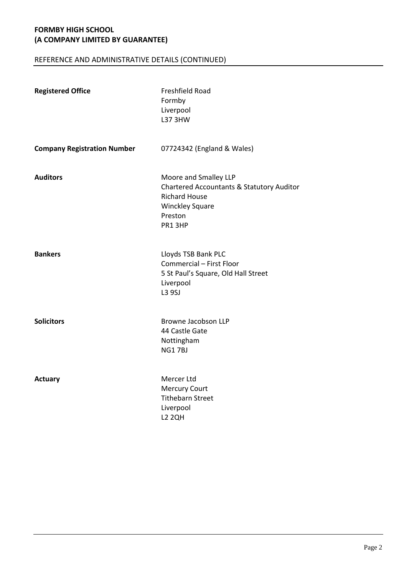# REFERENCE AND ADMINISTRATIVE DETAILS (CONTINUED)

| <b>Registered Office</b>           | Freshfield Road<br>Formby<br>Liverpool<br>L37 3HW                                                                                                    |
|------------------------------------|------------------------------------------------------------------------------------------------------------------------------------------------------|
| <b>Company Registration Number</b> | 07724342 (England & Wales)                                                                                                                           |
| <b>Auditors</b>                    | Moore and Smalley LLP<br><b>Chartered Accountants &amp; Statutory Auditor</b><br><b>Richard House</b><br><b>Winckley Square</b><br>Preston<br>PR13HP |
| <b>Bankers</b>                     | Lloyds TSB Bank PLC<br>Commercial - First Floor<br>5 St Paul's Square, Old Hall Street<br>Liverpool<br>L3 9SJ                                        |
| <b>Solicitors</b>                  | <b>Browne Jacobson LLP</b><br>44 Castle Gate<br>Nottingham<br><b>NG17BJ</b>                                                                          |
| <b>Actuary</b>                     | Mercer Ltd<br><b>Mercury Court</b><br><b>Tithebarn Street</b><br>Liverpool<br><b>L2 2QH</b>                                                          |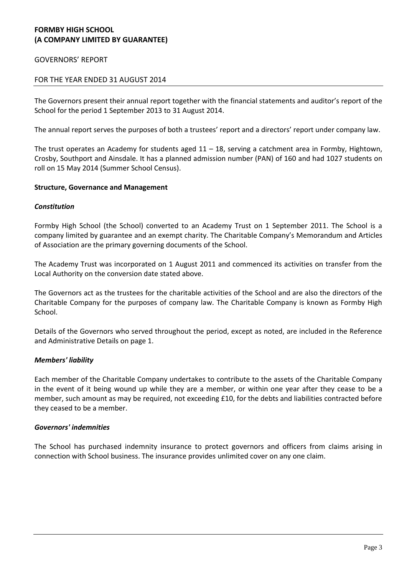### GOVERNORS' REPORT

### FOR THE YEAR ENDED 31 AUGUST 2014

The Governors present their annual report together with the financial statements and auditor's report of the School for the period 1 September 2013 to 31 August 2014.

The annual report serves the purposes of both a trustees' report and a directors' report under company law.

The trust operates an Academy for students aged 11 – 18, serving a catchment area in Formby, Hightown, Crosby, Southport and Ainsdale. It has a planned admission number (PAN) of 160 and had 1027 students on roll on 15 May 2014 (Summer School Census).

#### **Structure, Governance and Management**

#### *Constitution*

Formby High School (the School) converted to an Academy Trust on 1 September 2011. The School is a company limited by guarantee and an exempt charity. The Charitable Company's Memorandum and Articles of Association are the primary governing documents of the School.

The Academy Trust was incorporated on 1 August 2011 and commenced its activities on transfer from the Local Authority on the conversion date stated above.

The Governors act as the trustees for the charitable activities of the School and are also the directors of the Charitable Company for the purposes of company law. The Charitable Company is known as Formby High School.

Details of the Governors who served throughout the period, except as noted, are included in the Reference and Administrative Details on page 1.

#### *Members' liability*

Each member of the Charitable Company undertakes to contribute to the assets of the Charitable Company in the event of it being wound up while they are a member, or within one year after they cease to be a member, such amount as may be required, not exceeding £10, for the debts and liabilities contracted before they ceased to be a member.

#### *Governors' indemnities*

The School has purchased indemnity insurance to protect governors and officers from claims arising in connection with School business. The insurance provides unlimited cover on any one claim.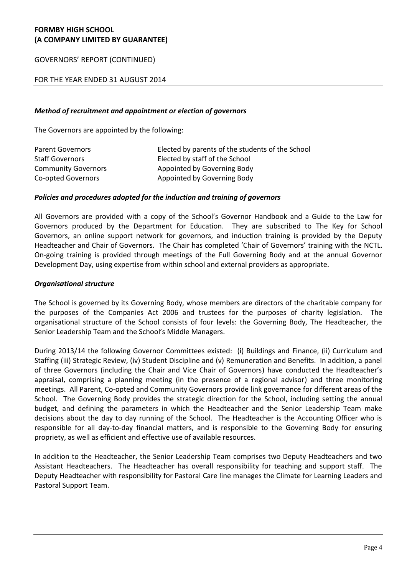GOVERNORS' REPORT (CONTINUED)

# FOR THE YEAR ENDED 31 AUGUST 2014

### *Method of recruitment and appointment or election of governors*

The Governors are appointed by the following:

| <b>Parent Governors</b>    | Elected by parents of the students of the School |
|----------------------------|--------------------------------------------------|
| <b>Staff Governors</b>     | Elected by staff of the School                   |
| <b>Community Governors</b> | Appointed by Governing Body                      |
| Co-opted Governors         | Appointed by Governing Body                      |

### *Policies and procedures adopted for the induction and training of governors*

All Governors are provided with a copy of the School's Governor Handbook and a Guide to the Law for Governors produced by the Department for Education. They are subscribed to The Key for School Governors, an online support network for governors, and induction training is provided by the Deputy Headteacher and Chair of Governors. The Chair has completed 'Chair of Governors' training with the NCTL. On-going training is provided through meetings of the Full Governing Body and at the annual Governor Development Day, using expertise from within school and external providers as appropriate.

### *Organisational structure*

The School is governed by its Governing Body, whose members are directors of the charitable company for the purposes of the Companies Act 2006 and trustees for the purposes of charity legislation. The organisational structure of the School consists of four levels: the Governing Body, The Headteacher, the Senior Leadership Team and the School's Middle Managers.

During 2013/14 the following Governor Committees existed: (i) Buildings and Finance, (ii) Curriculum and Staffing (iii) Strategic Review, (iv) Student Discipline and (v) Remuneration and Benefits. In addition, a panel of three Governors (including the Chair and Vice Chair of Governors) have conducted the Headteacher's appraisal, comprising a planning meeting (in the presence of a regional advisor) and three monitoring meetings. All Parent, Co-opted and Community Governors provide link governance for different areas of the School. The Governing Body provides the strategic direction for the School, including setting the annual budget, and defining the parameters in which the Headteacher and the Senior Leadership Team make decisions about the day to day running of the School. The Headteacher is the Accounting Officer who is responsible for all day-to-day financial matters, and is responsible to the Governing Body for ensuring propriety, as well as efficient and effective use of available resources.

In addition to the Headteacher, the Senior Leadership Team comprises two Deputy Headteachers and two Assistant Headteachers. The Headteacher has overall responsibility for teaching and support staff. The Deputy Headteacher with responsibility for Pastoral Care line manages the Climate for Learning Leaders and Pastoral Support Team.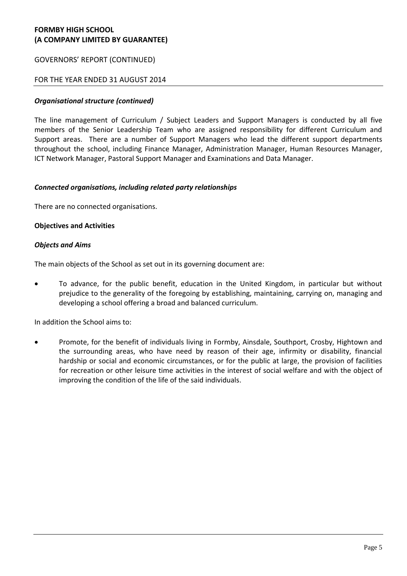## GOVERNORS' REPORT (CONTINUED)

## FOR THE YEAR ENDED 31 AUGUST 2014

### *Organisational structure (continued)*

The line management of Curriculum / Subject Leaders and Support Managers is conducted by all five members of the Senior Leadership Team who are assigned responsibility for different Curriculum and Support areas. There are a number of Support Managers who lead the different support departments throughout the school, including Finance Manager, Administration Manager, Human Resources Manager, ICT Network Manager, Pastoral Support Manager and Examinations and Data Manager.

### *Connected organisations, including related party relationships*

There are no connected organisations.

### **Objectives and Activities**

#### *Objects and Aims*

The main objects of the School as set out in its governing document are:

 To advance, for the public benefit, education in the United Kingdom, in particular but without prejudice to the generality of the foregoing by establishing, maintaining, carrying on, managing and developing a school offering a broad and balanced curriculum.

In addition the School aims to:

 Promote, for the benefit of individuals living in Formby, Ainsdale, Southport, Crosby, Hightown and the surrounding areas, who have need by reason of their age, infirmity or disability, financial hardship or social and economic circumstances, or for the public at large, the provision of facilities for recreation or other leisure time activities in the interest of social welfare and with the object of improving the condition of the life of the said individuals.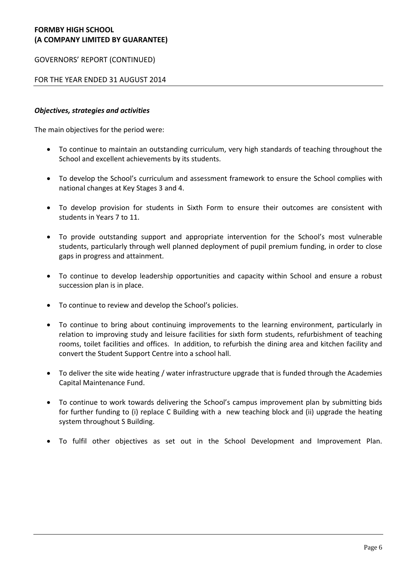GOVERNORS' REPORT (CONTINUED)

FOR THE YEAR ENDED 31 AUGUST 2014

### *Objectives, strategies and activities*

The main objectives for the period were:

- To continue to maintain an outstanding curriculum, very high standards of teaching throughout the School and excellent achievements by its students.
- To develop the School's curriculum and assessment framework to ensure the School complies with national changes at Key Stages 3 and 4.
- To develop provision for students in Sixth Form to ensure their outcomes are consistent with students in Years 7 to 11.
- To provide outstanding support and appropriate intervention for the School's most vulnerable students, particularly through well planned deployment of pupil premium funding, in order to close gaps in progress and attainment.
- To continue to develop leadership opportunities and capacity within School and ensure a robust succession plan is in place.
- To continue to review and develop the School's policies.
- To continue to bring about continuing improvements to the learning environment, particularly in relation to improving study and leisure facilities for sixth form students, refurbishment of teaching rooms, toilet facilities and offices. In addition, to refurbish the dining area and kitchen facility and convert the Student Support Centre into a school hall.
- To deliver the site wide heating / water infrastructure upgrade that is funded through the Academies Capital Maintenance Fund.
- To continue to work towards delivering the School's campus improvement plan by submitting bids for further funding to (i) replace C Building with a new teaching block and (ii) upgrade the heating system throughout S Building.
- To fulfil other objectives as set out in the School Development and Improvement Plan.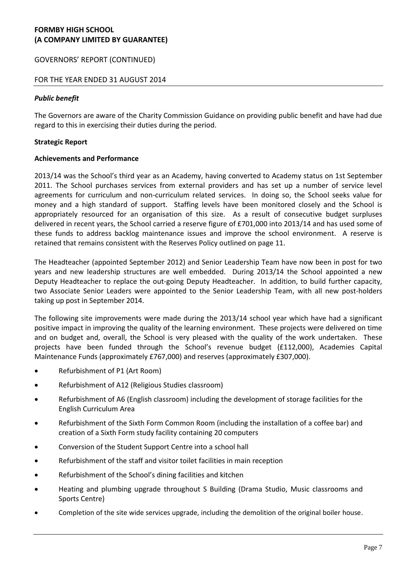# GOVERNORS' REPORT (CONTINUED)

## FOR THE YEAR ENDED 31 AUGUST 2014

### *Public benefit*

The Governors are aware of the Charity Commission Guidance on providing public benefit and have had due regard to this in exercising their duties during the period.

### **Strategic Report**

### **Achievements and Performance**

2013/14 was the School's third year as an Academy, having converted to Academy status on 1st September 2011. The School purchases services from external providers and has set up a number of service level agreements for curriculum and non-curriculum related services. In doing so, the School seeks value for money and a high standard of support. Staffing levels have been monitored closely and the School is appropriately resourced for an organisation of this size. As a result of consecutive budget surpluses delivered in recent years, the School carried a reserve figure of £701,000 into 2013/14 and has used some of these funds to address backlog maintenance issues and improve the school environment. A reserve is retained that remains consistent with the Reserves Policy outlined on page 11.

The Headteacher (appointed September 2012) and Senior Leadership Team have now been in post for two years and new leadership structures are well embedded. During 2013/14 the School appointed a new Deputy Headteacher to replace the out-going Deputy Headteacher. In addition, to build further capacity, two Associate Senior Leaders were appointed to the Senior Leadership Team, with all new post-holders taking up post in September 2014.

The following site improvements were made during the 2013/14 school year which have had a significant positive impact in improving the quality of the learning environment. These projects were delivered on time and on budget and, overall, the School is very pleased with the quality of the work undertaken. These projects have been funded through the School's revenue budget (£112,000), Academies Capital Maintenance Funds (approximately £767,000) and reserves (approximately £307,000).

- Refurbishment of P1 (Art Room)
- Refurbishment of A12 (Religious Studies classroom)
- Refurbishment of A6 (English classroom) including the development of storage facilities for the English Curriculum Area
- Refurbishment of the Sixth Form Common Room (including the installation of a coffee bar) and creation of a Sixth Form study facility containing 20 computers
- Conversion of the Student Support Centre into a school hall
- Refurbishment of the staff and visitor toilet facilities in main reception
- Refurbishment of the School's dining facilities and kitchen
- Heating and plumbing upgrade throughout S Building (Drama Studio, Music classrooms and Sports Centre)
- Completion of the site wide services upgrade, including the demolition of the original boiler house.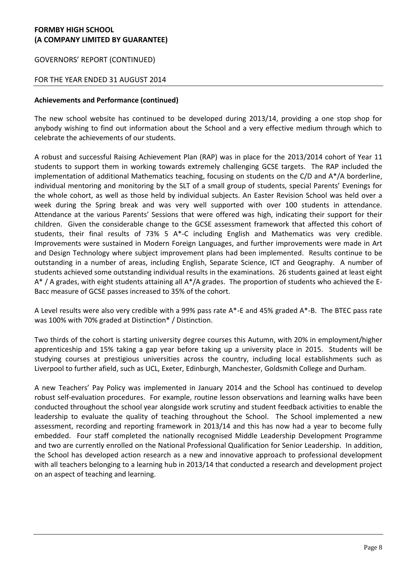GOVERNORS' REPORT (CONTINUED)

# FOR THE YEAR ENDED 31 AUGUST 2014

### **Achievements and Performance (continued)**

The new school website has continued to be developed during 2013/14, providing a one stop shop for anybody wishing to find out information about the School and a very effective medium through which to celebrate the achievements of our students.

A robust and successful Raising Achievement Plan (RAP) was in place for the 2013/2014 cohort of Year 11 students to support them in working towards extremely challenging GCSE targets. The RAP included the implementation of additional Mathematics teaching, focusing on students on the C/D and A\*/A borderline, individual mentoring and monitoring by the SLT of a small group of students, special Parents' Evenings for the whole cohort, as well as those held by individual subjects. An Easter Revision School was held over a week during the Spring break and was very well supported with over 100 students in attendance. Attendance at the various Parents' Sessions that were offered was high, indicating their support for their children. Given the considerable change to the GCSE assessment framework that affected this cohort of students, their final results of 73% 5 A\*-C including English and Mathematics was very credible. Improvements were sustained in Modern Foreign Languages, and further improvements were made in Art and Design Technology where subject improvement plans had been implemented. Results continue to be outstanding in a number of areas, including English, Separate Science, ICT and Geography. A number of students achieved some outstanding individual results in the examinations. 26 students gained at least eight A\* / A grades, with eight students attaining all A\*/A grades. The proportion of students who achieved the E-Bacc measure of GCSE passes increased to 35% of the cohort.

A Level results were also very credible with a 99% pass rate A\*-E and 45% graded A\*-B. The BTEC pass rate was 100% with 70% graded at Distinction\* / Distinction.

Two thirds of the cohort is starting university degree courses this Autumn, with 20% in employment/higher apprenticeship and 15% taking a gap year before taking up a university place in 2015. Students will be studying courses at prestigious universities across the country, including local establishments such as Liverpool to further afield, such as UCL, Exeter, Edinburgh, Manchester, Goldsmith College and Durham.

A new Teachers' Pay Policy was implemented in January 2014 and the School has continued to develop robust self-evaluation procedures. For example, routine lesson observations and learning walks have been conducted throughout the school year alongside work scrutiny and student feedback activities to enable the leadership to evaluate the quality of teaching throughout the School. The School implemented a new assessment, recording and reporting framework in 2013/14 and this has now had a year to become fully embedded. Four staff completed the nationally recognised Middle Leadership Development Programme and two are currently enrolled on the National Professional Qualification for Senior Leadership. In addition, the School has developed action research as a new and innovative approach to professional development with all teachers belonging to a learning hub in 2013/14 that conducted a research and development project on an aspect of teaching and learning.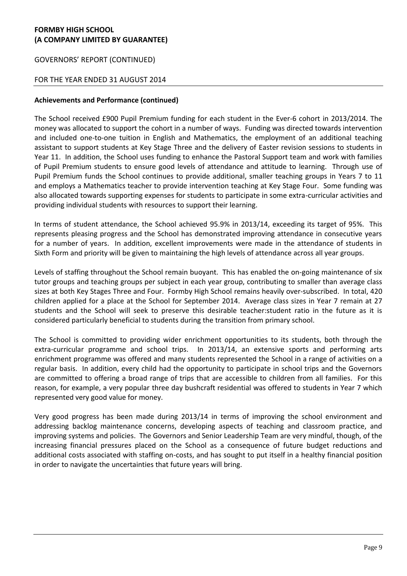# GOVERNORS' REPORT (CONTINUED)

## FOR THE YEAR ENDED 31 AUGUST 2014

### **Achievements and Performance (continued)**

The School received £900 Pupil Premium funding for each student in the Ever-6 cohort in 2013/2014. The money was allocated to support the cohort in a number of ways. Funding was directed towards intervention and included one-to-one tuition in English and Mathematics, the employment of an additional teaching assistant to support students at Key Stage Three and the delivery of Easter revision sessions to students in Year 11. In addition, the School uses funding to enhance the Pastoral Support team and work with families of Pupil Premium students to ensure good levels of attendance and attitude to learning. Through use of Pupil Premium funds the School continues to provide additional, smaller teaching groups in Years 7 to 11 and employs a Mathematics teacher to provide intervention teaching at Key Stage Four. Some funding was also allocated towards supporting expenses for students to participate in some extra-curricular activities and providing individual students with resources to support their learning.

In terms of student attendance, the School achieved 95.9% in 2013/14, exceeding its target of 95%. This represents pleasing progress and the School has demonstrated improving attendance in consecutive years for a number of years. In addition, excellent improvements were made in the attendance of students in Sixth Form and priority will be given to maintaining the high levels of attendance across all year groups.

Levels of staffing throughout the School remain buoyant. This has enabled the on-going maintenance of six tutor groups and teaching groups per subject in each year group, contributing to smaller than average class sizes at both Key Stages Three and Four. Formby High School remains heavily over-subscribed. In total, 420 children applied for a place at the School for September 2014. Average class sizes in Year 7 remain at 27 students and the School will seek to preserve this desirable teacher:student ratio in the future as it is considered particularly beneficial to students during the transition from primary school.

The School is committed to providing wider enrichment opportunities to its students, both through the extra-curricular programme and school trips. In 2013/14, an extensive sports and performing arts enrichment programme was offered and many students represented the School in a range of activities on a regular basis. In addition, every child had the opportunity to participate in school trips and the Governors are committed to offering a broad range of trips that are accessible to children from all families. For this reason, for example, a very popular three day bushcraft residential was offered to students in Year 7 which represented very good value for money.

Very good progress has been made during 2013/14 in terms of improving the school environment and addressing backlog maintenance concerns, developing aspects of teaching and classroom practice, and improving systems and policies. The Governors and Senior Leadership Team are very mindful, though, of the increasing financial pressures placed on the School as a consequence of future budget reductions and additional costs associated with staffing on-costs, and has sought to put itself in a healthy financial position in order to navigate the uncertainties that future years will bring.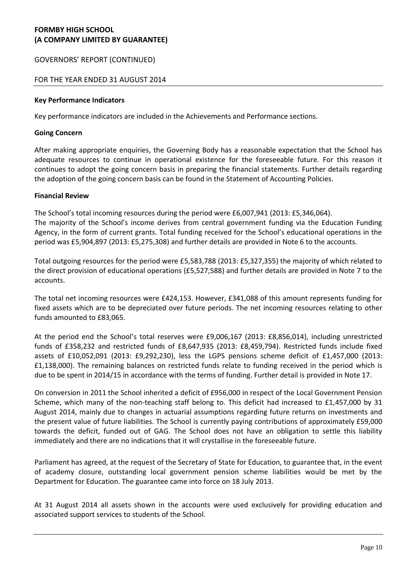# GOVERNORS' REPORT (CONTINUED)

## FOR THE YEAR ENDED 31 AUGUST 2014

#### **Key Performance Indicators**

Key performance indicators are included in the Achievements and Performance sections.

#### **Going Concern**

After making appropriate enquiries, the Governing Body has a reasonable expectation that the School has adequate resources to continue in operational existence for the foreseeable future. For this reason it continues to adopt the going concern basis in preparing the financial statements. Further details regarding the adoption of the going concern basis can be found in the Statement of Accounting Policies.

### **Financial Review**

The School's total incoming resources during the period were £6,007,941 (2013: £5,346,064).

The majority of the School's income derives from central government funding via the Education Funding Agency, in the form of current grants. Total funding received for the School's educational operations in the period was £5,904,897 (2013: £5,275,308) and further details are provided in Note 6 to the accounts.

Total outgoing resources for the period were £5,583,788 (2013: £5,327,355) the majority of which related to the direct provision of educational operations (£5,527,588) and further details are provided in Note 7 to the accounts.

The total net incoming resources were £424,153. However, £341,088 of this amount represents funding for fixed assets which are to be depreciated over future periods. The net incoming resources relating to other funds amounted to £83,065.

At the period end the School's total reserves were £9,006,167 (2013: £8,856,014), including unrestricted funds of £358,232 and restricted funds of £8,647,935 (2013: £8,459,794). Restricted funds include fixed assets of £10,052,091 (2013: £9,292,230), less the LGPS pensions scheme deficit of £1,457,000 (2013: £1,138,000). The remaining balances on restricted funds relate to funding received in the period which is due to be spent in 2014/15 in accordance with the terms of funding. Further detail is provided in Note 17.

On conversion in 2011 the School inherited a deficit of £956,000 in respect of the Local Government Pension Scheme, which many of the non-teaching staff belong to. This deficit had increased to £1,457,000 by 31 August 2014, mainly due to changes in actuarial assumptions regarding future returns on investments and the present value of future liabilities. The School is currently paying contributions of approximately £59,000 towards the deficit, funded out of GAG. The School does not have an obligation to settle this liability immediately and there are no indications that it will crystallise in the foreseeable future.

Parliament has agreed, at the request of the Secretary of State for Education, to guarantee that, in the event of academy closure, outstanding local government pension scheme liabilities would be met by the Department for Education. The guarantee came into force on 18 July 2013.

At 31 August 2014 all assets shown in the accounts were used exclusively for providing education and associated support services to students of the School.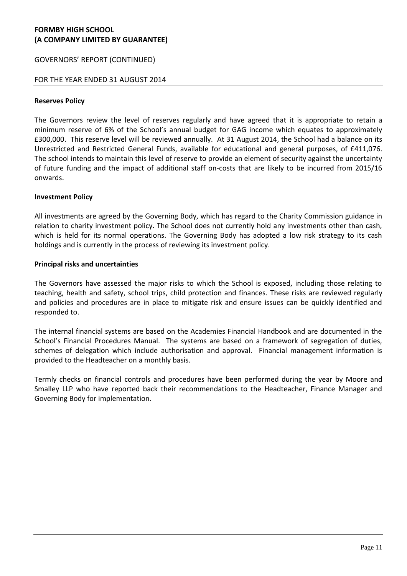## GOVERNORS' REPORT (CONTINUED)

### FOR THE YEAR ENDED 31 AUGUST 2014

#### **Reserves Policy**

The Governors review the level of reserves regularly and have agreed that it is appropriate to retain a minimum reserve of 6% of the School's annual budget for GAG income which equates to approximately £300,000. This reserve level will be reviewed annually. At 31 August 2014, the School had a balance on its Unrestricted and Restricted General Funds, available for educational and general purposes, of £411,076. The school intends to maintain this level of reserve to provide an element of security against the uncertainty of future funding and the impact of additional staff on-costs that are likely to be incurred from 2015/16 onwards.

### **Investment Policy**

All investments are agreed by the Governing Body, which has regard to the Charity Commission guidance in relation to charity investment policy. The School does not currently hold any investments other than cash, which is held for its normal operations. The Governing Body has adopted a low risk strategy to its cash holdings and is currently in the process of reviewing its investment policy.

### **Principal risks and uncertainties**

The Governors have assessed the major risks to which the School is exposed, including those relating to teaching, health and safety, school trips, child protection and finances. These risks are reviewed regularly and policies and procedures are in place to mitigate risk and ensure issues can be quickly identified and responded to.

The internal financial systems are based on the Academies Financial Handbook and are documented in the School's Financial Procedures Manual. The systems are based on a framework of segregation of duties, schemes of delegation which include authorisation and approval. Financial management information is provided to the Headteacher on a monthly basis.

Termly checks on financial controls and procedures have been performed during the year by Moore and Smalley LLP who have reported back their recommendations to the Headteacher, Finance Manager and Governing Body for implementation.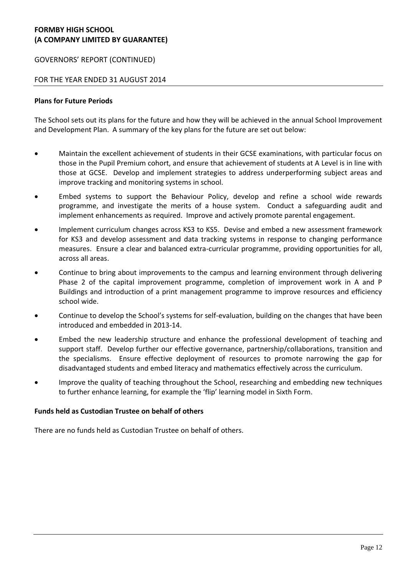### GOVERNORS' REPORT (CONTINUED)

### FOR THE YEAR ENDED 31 AUGUST 2014

### **Plans for Future Periods**

The School sets out its plans for the future and how they will be achieved in the annual School Improvement and Development Plan. A summary of the key plans for the future are set out below:

- Maintain the excellent achievement of students in their GCSE examinations, with particular focus on those in the Pupil Premium cohort, and ensure that achievement of students at A Level is in line with those at GCSE. Develop and implement strategies to address underperforming subject areas and improve tracking and monitoring systems in school.
- Embed systems to support the Behaviour Policy, develop and refine a school wide rewards programme, and investigate the merits of a house system. Conduct a safeguarding audit and implement enhancements as required. Improve and actively promote parental engagement.
- Implement curriculum changes across KS3 to KS5. Devise and embed a new assessment framework for KS3 and develop assessment and data tracking systems in response to changing performance measures. Ensure a clear and balanced extra-curricular programme, providing opportunities for all, across all areas.
- Continue to bring about improvements to the campus and learning environment through delivering Phase 2 of the capital improvement programme, completion of improvement work in A and P Buildings and introduction of a print management programme to improve resources and efficiency school wide.
- Continue to develop the School's systems for self-evaluation, building on the changes that have been introduced and embedded in 2013-14.
- Embed the new leadership structure and enhance the professional development of teaching and support staff. Develop further our effective governance, partnership/collaborations, transition and the specialisms. Ensure effective deployment of resources to promote narrowing the gap for disadvantaged students and embed literacy and mathematics effectively across the curriculum.
- Improve the quality of teaching throughout the School, researching and embedding new techniques to further enhance learning, for example the 'flip' learning model in Sixth Form.

#### **Funds held as Custodian Trustee on behalf of others**

There are no funds held as Custodian Trustee on behalf of others.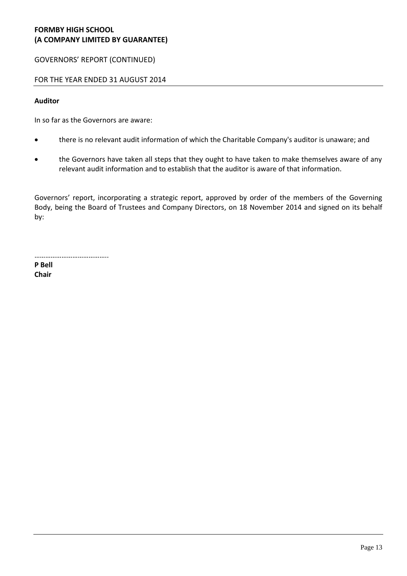GOVERNORS' REPORT (CONTINUED)

# FOR THE YEAR ENDED 31 AUGUST 2014

### **Auditor**

In so far as the Governors are aware:

- there is no relevant audit information of which the Charitable Company's auditor is unaware; and
- the Governors have taken all steps that they ought to have taken to make themselves aware of any relevant audit information and to establish that the auditor is aware of that information.

Governors' report, incorporating a strategic report, approved by order of the members of the Governing Body, being the Board of Trustees and Company Directors, on 18 November 2014 and signed on its behalf by:

…………………………………..

**P Bell Chair**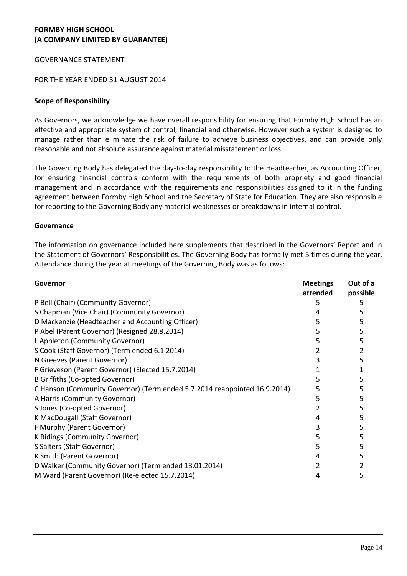### GOVERNANCE STATEMENT

### FOR THE YEAR ENDED 31 AUGUST 2014

#### **Scope of Responsibility**

As Governors, we acknowledge we have overall responsibility for ensuring that Formby High School has an effective and appropriate system of control, financial and otherwise. However such a system is designed to manage rather than eliminate the risk of failure to achieve business objectives, and can provide only reasonable and not absolute assurance against material misstatement or loss.

The Governing Body has delegated the day-to-day responsibility to the Headteacher, as Accounting Officer, for ensuring financial controls conform with the requirements of both propriety and good financial management and in accordance with the requirements and responsibilities assigned to it in the funding agreement between Formby High School and the Secretary of State for Education. They are also responsible for reporting to the Governing Body any material weaknesses or breakdowns in internal control.

#### **Governance**

The information on governance included here supplements that described in the Governors' Report and in the Statement of Governors' Responsibilities. The Governing Body has formally met 5 times during the year. Attendance during the year at meetings of the Governing Body was as follows:

| Governor                                                                  | <b>Meetings</b><br>attended | Out of a<br>possible |
|---------------------------------------------------------------------------|-----------------------------|----------------------|
| P Bell (Chair) (Community Governor)                                       | ר                           |                      |
| S Chapman (Vice Chair) (Community Governor)                               | 4                           | 5                    |
| D Mackenzie (Headteacher and Accounting Officer)                          | 5                           |                      |
| P Abel (Parent Governor) (Resigned 28.8.2014)                             |                             |                      |
| L Appleton (Community Governor)                                           | 5                           |                      |
| S Cook (Staff Governor) (Term ended 6.1.2014)                             |                             |                      |
| N Greeves (Parent Governor)                                               | 3                           |                      |
| F Grieveson (Parent Governor) (Elected 15.7.2014)                         |                             |                      |
| B Griffiths (Co-opted Governor)                                           |                             |                      |
| C Hanson (Community Governor) (Term ended 5.7.2014 reappointed 16.9.2014) | 5                           |                      |
| A Harris (Community Governor)                                             |                             |                      |
| S Jones (Co-opted Governor)                                               |                             | 5                    |
| K MacDougall (Staff Governor)                                             |                             |                      |
| F Murphy (Parent Governor)                                                | 3                           |                      |
| K Ridings (Community Governor)                                            | 5                           |                      |
| S Salters (Staff Governor)                                                | 5                           |                      |
| K Smith (Parent Governor)                                                 | 4                           |                      |
| D Walker (Community Governor) (Term ended 18.01.2014)                     |                             |                      |
| M Ward (Parent Governor) (Re-elected 15.7.2014)                           | 4                           | 5                    |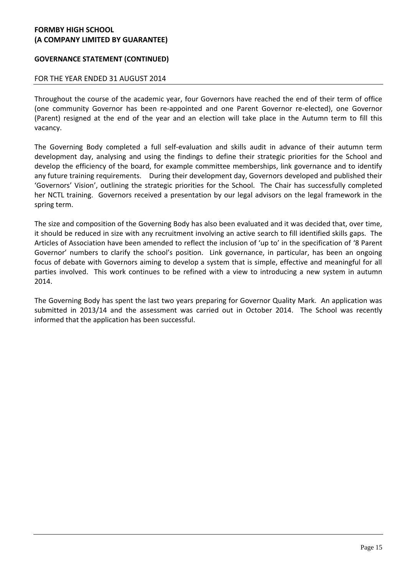# **GOVERNANCE STATEMENT (CONTINUED)**

## FOR THE YEAR ENDED 31 AUGUST 2014

Throughout the course of the academic year, four Governors have reached the end of their term of office (one community Governor has been re-appointed and one Parent Governor re-elected), one Governor (Parent) resigned at the end of the year and an election will take place in the Autumn term to fill this vacancy.

The Governing Body completed a full self-evaluation and skills audit in advance of their autumn term development day, analysing and using the findings to define their strategic priorities for the School and develop the efficiency of the board, for example committee memberships, link governance and to identify any future training requirements. During their development day, Governors developed and published their 'Governors' Vision', outlining the strategic priorities for the School. The Chair has successfully completed her NCTL training. Governors received a presentation by our legal advisors on the legal framework in the spring term.

The size and composition of the Governing Body has also been evaluated and it was decided that, over time, it should be reduced in size with any recruitment involving an active search to fill identified skills gaps. The Articles of Association have been amended to reflect the inclusion of 'up to' in the specification of '8 Parent Governor' numbers to clarify the school's position. Link governance, in particular, has been an ongoing focus of debate with Governors aiming to develop a system that is simple, effective and meaningful for all parties involved. This work continues to be refined with a view to introducing a new system in autumn 2014.

The Governing Body has spent the last two years preparing for Governor Quality Mark. An application was submitted in 2013/14 and the assessment was carried out in October 2014. The School was recently informed that the application has been successful.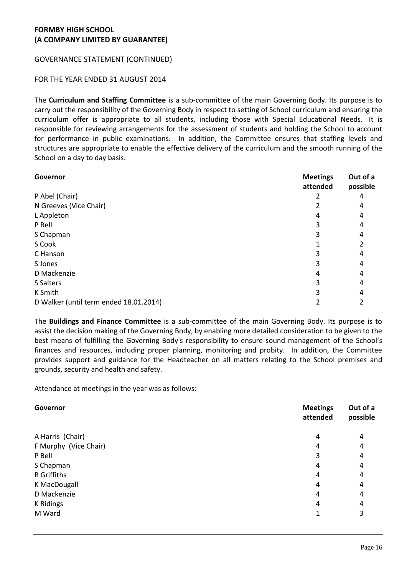# GOVERNANCE STATEMENT (CONTINUED)

## FOR THE YEAR ENDED 31 AUGUST 2014

The **Curriculum and Staffing Committee** is a sub-committee of the main Governing Body. Its purpose is to carry out the responsibility of the Governing Body in respect to setting of School curriculum and ensuring the curriculum offer is appropriate to all students, including those with Special Educational Needs. It is responsible for reviewing arrangements for the assessment of students and holding the School to account for performance in public examinations. In addition, the Committee ensures that staffing levels and structures are appropriate to enable the effective delivery of the curriculum and the smooth running of the School on a day to day basis.

| Governor                               | <b>Meetings</b><br>attended | Out of a<br>possible |
|----------------------------------------|-----------------------------|----------------------|
| P Abel (Chair)                         |                             | 4                    |
| N Greeves (Vice Chair)                 |                             | 4                    |
| L Appleton                             | 4                           | 4                    |
| P Bell                                 |                             |                      |
| S Chapman                              |                             |                      |
| S Cook                                 |                             |                      |
| C Hanson                               |                             |                      |
| S Jones                                |                             |                      |
| D Mackenzie                            |                             |                      |
| S Salters                              |                             |                      |
| K Smith                                |                             |                      |
| D Walker (until term ended 18.01.2014) |                             |                      |

The **Buildings and Finance Committee** is a sub-committee of the main Governing Body. Its purpose is to assist the decision making of the Governing Body, by enabling more detailed consideration to be given to the best means of fulfilling the Governing Body's responsibility to ensure sound management of the School's finances and resources, including proper planning, monitoring and probity. In addition, the Committee provides support and guidance for the Headteacher on all matters relating to the School premises and grounds, security and health and safety.

Attendance at meetings in the year was as follows:

| Governor              | <b>Meetings</b><br>attended | Out of a<br>possible |
|-----------------------|-----------------------------|----------------------|
| A Harris (Chair)      | 4                           | 4                    |
| F Murphy (Vice Chair) | 4                           | 4                    |
| P Bell                | 3                           | 4                    |
| S Chapman             | 4                           | 4                    |
| <b>B</b> Griffiths    | 4                           | 4                    |
| K MacDougall          | 4                           | 4                    |
| D Mackenzie           | 4                           | 4                    |
| K Ridings             | 4                           | 4                    |
| M Ward                |                             | 3                    |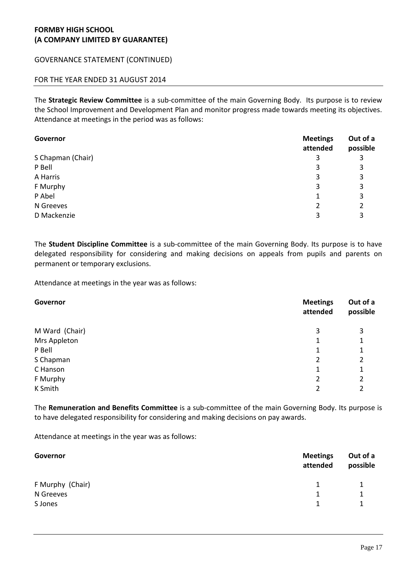# GOVERNANCE STATEMENT (CONTINUED)

# FOR THE YEAR ENDED 31 AUGUST 2014

The **Strategic Review Committee** is a sub-committee of the main Governing Body. Its purpose is to review the School Improvement and Development Plan and monitor progress made towards meeting its objectives. Attendance at meetings in the period was as follows:

| Governor          | <b>Meetings</b><br>attended | Out of a<br>possible |
|-------------------|-----------------------------|----------------------|
| S Chapman (Chair) | 3                           | 3                    |
| P Bell            | 3                           | 3                    |
| A Harris          | 3                           | 3                    |
| F Murphy          | 3                           | 3                    |
| P Abel            |                             | 3                    |
| N Greeves         | 2                           | 2                    |
| D Mackenzie       | 3                           | 3                    |

The **Student Discipline Committee** is a sub-committee of the main Governing Body. Its purpose is to have delegated responsibility for considering and making decisions on appeals from pupils and parents on permanent or temporary exclusions.

Attendance at meetings in the year was as follows:

| Governor       | <b>Meetings</b><br>attended | Out of a<br>possible |
|----------------|-----------------------------|----------------------|
| M Ward (Chair) | 3                           | 3                    |
| Mrs Appleton   | 1                           | 1                    |
| P Bell         | 1                           | 1                    |
| S Chapman      | 2                           | 2                    |
| C Hanson       | 1                           | 1                    |
| F Murphy       | 2                           | 2                    |
| K Smith        | 2                           | 2                    |

The **Remuneration and Benefits Committee** is a sub-committee of the main Governing Body. Its purpose is to have delegated responsibility for considering and making decisions on pay awards.

Attendance at meetings in the year was as follows:

| Governor         | <b>Meetings</b><br>attended | Out of a<br>possible |
|------------------|-----------------------------|----------------------|
| F Murphy (Chair) | 1.                          |                      |
| N Greeves        |                             | 1                    |
| S Jones          |                             | 1                    |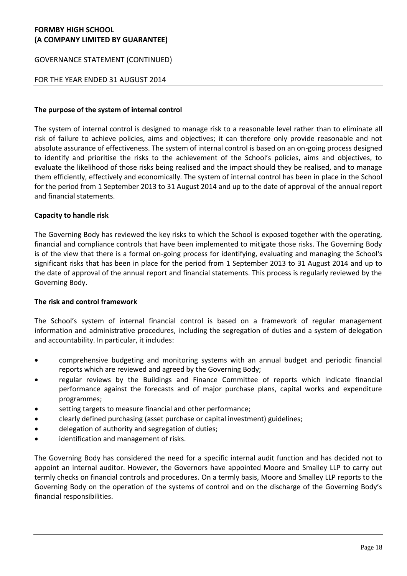### GOVERNANCE STATEMENT (CONTINUED)

### FOR THE YEAR ENDED 31 AUGUST 2014

#### **The purpose of the system of internal control**

The system of internal control is designed to manage risk to a reasonable level rather than to eliminate all risk of failure to achieve policies, aims and objectives; it can therefore only provide reasonable and not absolute assurance of effectiveness. The system of internal control is based on an on-going process designed to identify and prioritise the risks to the achievement of the School's policies, aims and objectives, to evaluate the likelihood of those risks being realised and the impact should they be realised, and to manage them efficiently, effectively and economically. The system of internal control has been in place in the School for the period from 1 September 2013 to 31 August 2014 and up to the date of approval of the annual report and financial statements.

### **Capacity to handle risk**

The Governing Body has reviewed the key risks to which the School is exposed together with the operating, financial and compliance controls that have been implemented to mitigate those risks. The Governing Body is of the view that there is a formal on-going process for identifying, evaluating and managing the School's significant risks that has been in place for the period from 1 September 2013 to 31 August 2014 and up to the date of approval of the annual report and financial statements. This process is regularly reviewed by the Governing Body.

#### **The risk and control framework**

The School's system of internal financial control is based on a framework of regular management information and administrative procedures, including the segregation of duties and a system of delegation and accountability. In particular, it includes:

- comprehensive budgeting and monitoring systems with an annual budget and periodic financial reports which are reviewed and agreed by the Governing Body;
- regular reviews by the Buildings and Finance Committee of reports which indicate financial performance against the forecasts and of major purchase plans, capital works and expenditure programmes;
- setting targets to measure financial and other performance;
- clearly defined purchasing (asset purchase or capital investment) guidelines;
- delegation of authority and segregation of duties;
- identification and management of risks.

The Governing Body has considered the need for a specific internal audit function and has decided not to appoint an internal auditor. However, the Governors have appointed Moore and Smalley LLP to carry out termly checks on financial controls and procedures. On a termly basis, Moore and Smalley LLP reports to the Governing Body on the operation of the systems of control and on the discharge of the Governing Body's financial responsibilities.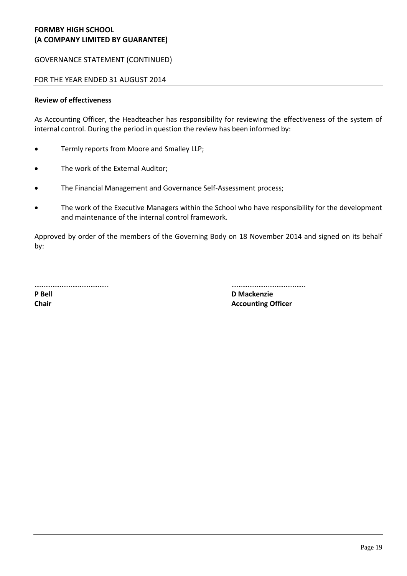# GOVERNANCE STATEMENT (CONTINUED)

### FOR THE YEAR ENDED 31 AUGUST 2014

#### **Review of effectiveness**

As Accounting Officer, the Headteacher has responsibility for reviewing the effectiveness of the system of internal control. During the period in question the review has been informed by:

- Termly reports from Moore and Smalley LLP;
- The work of the External Auditor;
- The Financial Management and Governance Self-Assessment process;
- The work of the Executive Managers within the School who have responsibility for the development and maintenance of the internal control framework.

Approved by order of the members of the Governing Body on 18 November 2014 and signed on its behalf by:

………………………………….. …………………………………..

**P Bell D Mackenzie Chair Accounting Officer Accounting Officer**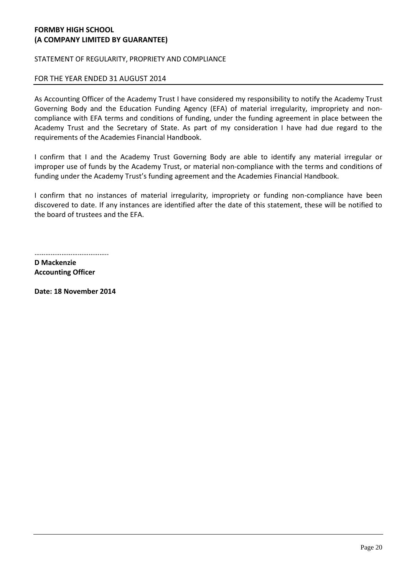STATEMENT OF REGULARITY, PROPRIETY AND COMPLIANCE

### FOR THE YEAR ENDED 31 AUGUST 2014

As Accounting Officer of the Academy Trust I have considered my responsibility to notify the Academy Trust Governing Body and the Education Funding Agency (EFA) of material irregularity, impropriety and noncompliance with EFA terms and conditions of funding, under the funding agreement in place between the Academy Trust and the Secretary of State. As part of my consideration I have had due regard to the requirements of the Academies Financial Handbook.

I confirm that I and the Academy Trust Governing Body are able to identify any material irregular or improper use of funds by the Academy Trust, or material non-compliance with the terms and conditions of funding under the Academy Trust's funding agreement and the Academies Financial Handbook.

I confirm that no instances of material irregularity, impropriety or funding non-compliance have been discovered to date. If any instances are identified after the date of this statement, these will be notified to the board of trustees and the EFA.

……………………………………………

**D Mackenzie Accounting Officer**

**Date: 18 November 2014**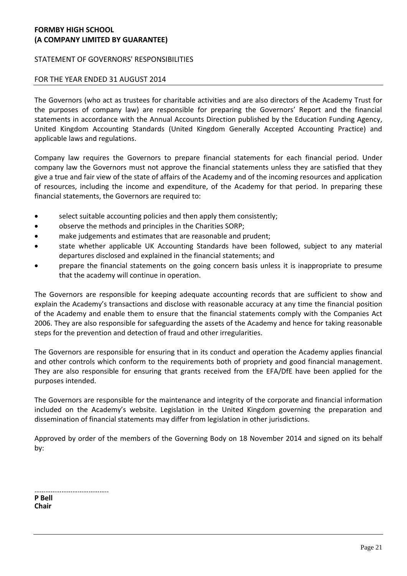### STATEMENT OF GOVERNORS' RESPONSIBILITIES

### FOR THE YEAR ENDED 31 AUGUST 2014

The Governors (who act as trustees for charitable activities and are also directors of the Academy Trust for the purposes of company law) are responsible for preparing the Governors' Report and the financial statements in accordance with the Annual Accounts Direction published by the Education Funding Agency, United Kingdom Accounting Standards (United Kingdom Generally Accepted Accounting Practice) and applicable laws and regulations.

Company law requires the Governors to prepare financial statements for each financial period. Under company law the Governors must not approve the financial statements unless they are satisfied that they give a true and fair view of the state of affairs of the Academy and of the incoming resources and application of resources, including the income and expenditure, of the Academy for that period. In preparing these financial statements, the Governors are required to:

- select suitable accounting policies and then apply them consistently;
- observe the methods and principles in the Charities SORP;
- make judgements and estimates that are reasonable and prudent;
- state whether applicable UK Accounting Standards have been followed, subject to any material departures disclosed and explained in the financial statements; and
- prepare the financial statements on the going concern basis unless it is inappropriate to presume that the academy will continue in operation.

The Governors are responsible for keeping adequate accounting records that are sufficient to show and explain the Academy's transactions and disclose with reasonable accuracy at any time the financial position of the Academy and enable them to ensure that the financial statements comply with the Companies Act 2006. They are also responsible for safeguarding the assets of the Academy and hence for taking reasonable steps for the prevention and detection of fraud and other irregularities.

The Governors are responsible for ensuring that in its conduct and operation the Academy applies financial and other controls which conform to the requirements both of propriety and good financial management. They are also responsible for ensuring that grants received from the EFA/DfE have been applied for the purposes intended.

The Governors are responsible for the maintenance and integrity of the corporate and financial information included on the Academy's website. Legislation in the United Kingdom governing the preparation and dissemination of financial statements may differ from legislation in other jurisdictions.

Approved by order of the members of the Governing Body on 18 November 2014 and signed on its behalf by:

……………………………………… **P Bell Chair**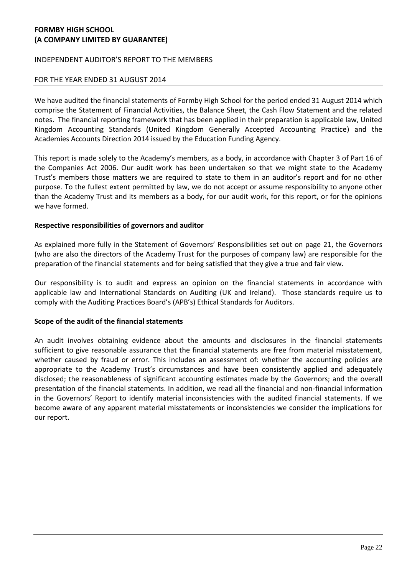### INDEPENDENT AUDITOR'S REPORT TO THE MEMBERS

### FOR THE YEAR ENDED 31 AUGUST 2014

We have audited the financial statements of Formby High School for the period ended 31 August 2014 which comprise the Statement of Financial Activities, the Balance Sheet, the Cash Flow Statement and the related notes. The financial reporting framework that has been applied in their preparation is applicable law, United Kingdom Accounting Standards (United Kingdom Generally Accepted Accounting Practice) and the Academies Accounts Direction 2014 issued by the Education Funding Agency.

This report is made solely to the Academy's members, as a body, in accordance with Chapter 3 of Part 16 of the Companies Act 2006. Our audit work has been undertaken so that we might state to the Academy Trust's members those matters we are required to state to them in an auditor's report and for no other purpose. To the fullest extent permitted by law, we do not accept or assume responsibility to anyone other than the Academy Trust and its members as a body, for our audit work, for this report, or for the opinions we have formed.

### **Respective responsibilities of governors and auditor**

As explained more fully in the Statement of Governors' Responsibilities set out on page 21, the Governors (who are also the directors of the Academy Trust for the purposes of company law) are responsible for the preparation of the financial statements and for being satisfied that they give a true and fair view.

Our responsibility is to audit and express an opinion on the financial statements in accordance with applicable law and International Standards on Auditing (UK and Ireland). Those standards require us to comply with the Auditing Practices Board's (APB's) Ethical Standards for Auditors.

#### **Scope of the audit of the financial statements**

An audit involves obtaining evidence about the amounts and disclosures in the financial statements sufficient to give reasonable assurance that the financial statements are free from material misstatement, whether caused by fraud or error. This includes an assessment of: whether the accounting policies are appropriate to the Academy Trust's circumstances and have been consistently applied and adequately disclosed; the reasonableness of significant accounting estimates made by the Governors; and the overall presentation of the financial statements. In addition, we read all the financial and non-financial information in the Governors' Report to identify material inconsistencies with the audited financial statements. If we become aware of any apparent material misstatements or inconsistencies we consider the implications for our report.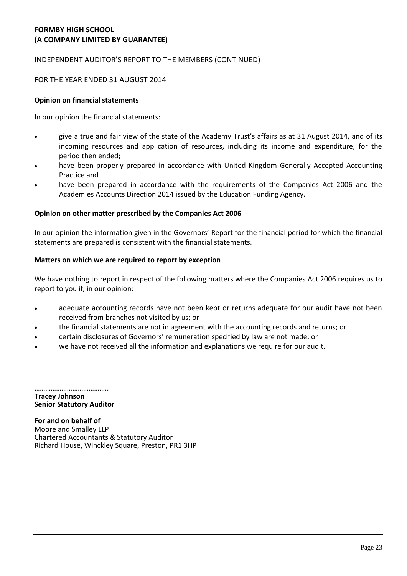# INDEPENDENT AUDITOR'S REPORT TO THE MEMBERS (CONTINUED)

### FOR THE YEAR ENDED 31 AUGUST 2014

### **Opinion on financial statements**

In our opinion the financial statements:

- give a true and fair view of the state of the Academy Trust's affairs as at 31 August 2014, and of its incoming resources and application of resources, including its income and expenditure, for the period then ended;
- have been properly prepared in accordance with United Kingdom Generally Accepted Accounting Practice and
- have been prepared in accordance with the requirements of the Companies Act 2006 and the Academies Accounts Direction 2014 issued by the Education Funding Agency.

### **Opinion on other matter prescribed by the Companies Act 2006**

In our opinion the information given in the Governors' Report for the financial period for which the financial statements are prepared is consistent with the financial statements.

### **Matters on which we are required to report by exception**

We have nothing to report in respect of the following matters where the Companies Act 2006 requires us to report to you if, in our opinion:

- adequate accounting records have not been kept or returns adequate for our audit have not been received from branches not visited by us; or
- the financial statements are not in agreement with the accounting records and returns; or
- certain disclosures of Governors' remuneration specified by law are not made; or
- we have not received all the information and explanations we require for our audit.

……………………………………… **Tracey Johnson Senior Statutory Auditor**

**For and on behalf of** Moore and Smalley LLP Chartered Accountants & Statutory Auditor Richard House, Winckley Square, Preston, PR1 3HP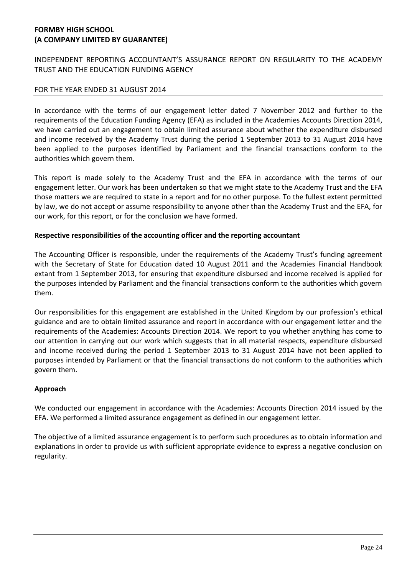# INDEPENDENT REPORTING ACCOUNTANT'S ASSURANCE REPORT ON REGULARITY TO THE ACADEMY TRUST AND THE EDUCATION FUNDING AGENCY

## FOR THE YEAR ENDED 31 AUGUST 2014

In accordance with the terms of our engagement letter dated 7 November 2012 and further to the requirements of the Education Funding Agency (EFA) as included in the Academies Accounts Direction 2014, we have carried out an engagement to obtain limited assurance about whether the expenditure disbursed and income received by the Academy Trust during the period 1 September 2013 to 31 August 2014 have been applied to the purposes identified by Parliament and the financial transactions conform to the authorities which govern them.

This report is made solely to the Academy Trust and the EFA in accordance with the terms of our engagement letter. Our work has been undertaken so that we might state to the Academy Trust and the EFA those matters we are required to state in a report and for no other purpose. To the fullest extent permitted by law, we do not accept or assume responsibility to anyone other than the Academy Trust and the EFA, for our work, for this report, or for the conclusion we have formed.

### **Respective responsibilities of the accounting officer and the reporting accountant**

The Accounting Officer is responsible, under the requirements of the Academy Trust's funding agreement with the Secretary of State for Education dated 10 August 2011 and the Academies Financial Handbook extant from 1 September 2013, for ensuring that expenditure disbursed and income received is applied for the purposes intended by Parliament and the financial transactions conform to the authorities which govern them.

Our responsibilities for this engagement are established in the United Kingdom by our profession's ethical guidance and are to obtain limited assurance and report in accordance with our engagement letter and the requirements of the Academies: Accounts Direction 2014. We report to you whether anything has come to our attention in carrying out our work which suggests that in all material respects, expenditure disbursed and income received during the period 1 September 2013 to 31 August 2014 have not been applied to purposes intended by Parliament or that the financial transactions do not conform to the authorities which govern them.

### **Approach**

We conducted our engagement in accordance with the Academies: Accounts Direction 2014 issued by the EFA. We performed a limited assurance engagement as defined in our engagement letter.

The objective of a limited assurance engagement is to perform such procedures as to obtain information and explanations in order to provide us with sufficient appropriate evidence to express a negative conclusion on regularity.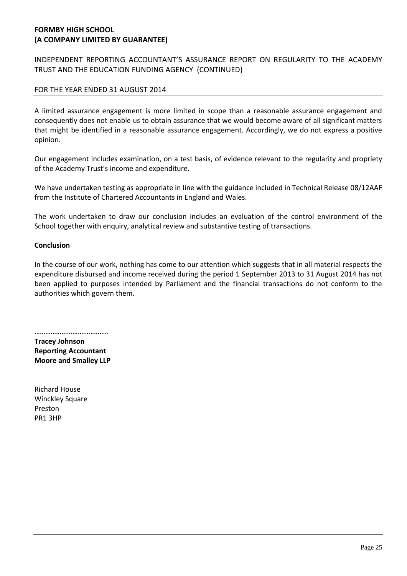# INDEPENDENT REPORTING ACCOUNTANT'S ASSURANCE REPORT ON REGULARITY TO THE ACADEMY TRUST AND THE EDUCATION FUNDING AGENCY (CONTINUED)

# FOR THE YEAR ENDED 31 AUGUST 2014

A limited assurance engagement is more limited in scope than a reasonable assurance engagement and consequently does not enable us to obtain assurance that we would become aware of all significant matters that might be identified in a reasonable assurance engagement. Accordingly, we do not express a positive opinion.

Our engagement includes examination, on a test basis, of evidence relevant to the regularity and propriety of the Academy Trust's income and expenditure.

We have undertaken testing as appropriate in line with the guidance included in Technical Release 08/12AAF from the Institute of Chartered Accountants in England and Wales.

The work undertaken to draw our conclusion includes an evaluation of the control environment of the School together with enquiry, analytical review and substantive testing of transactions.

### **Conclusion**

In the course of our work, nothing has come to our attention which suggests that in all material respects the expenditure disbursed and income received during the period 1 September 2013 to 31 August 2014 has not been applied to purposes intended by Parliament and the financial transactions do not conform to the authorities which govern them.

………………………………….. **Tracey Johnson Reporting Accountant Moore and Smalley LLP**

Richard House Winckley Square Preston PR1 3HP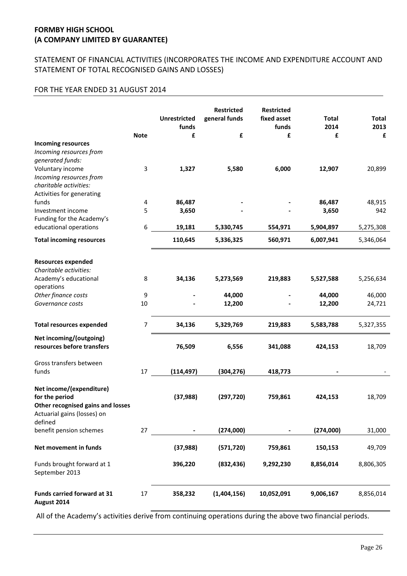# STATEMENT OF FINANCIAL ACTIVITIES (INCORPORATES THE INCOME AND EXPENDITURE ACCOUNT AND STATEMENT OF TOTAL RECOGNISED GAINS AND LOSSES)

### FOR THE YEAR ENDED 31 AUGUST 2014

|                                                                                                                | <b>Note</b> | <b>Unrestricted</b><br>funds<br>£ | <b>Restricted</b><br>general funds<br>£ | <b>Restricted</b><br>fixed asset<br>funds<br>£ | <b>Total</b><br>2014<br>£ | <b>Total</b><br>2013<br>£ |
|----------------------------------------------------------------------------------------------------------------|-------------|-----------------------------------|-----------------------------------------|------------------------------------------------|---------------------------|---------------------------|
| <b>Incoming resources</b><br>Incoming resources from                                                           |             |                                   |                                         |                                                |                           |                           |
| generated funds:                                                                                               |             |                                   |                                         |                                                |                           |                           |
| Voluntary income                                                                                               | 3           | 1,327                             | 5,580                                   | 6,000                                          | 12,907                    | 20,899                    |
| Incoming resources from                                                                                        |             |                                   |                                         |                                                |                           |                           |
| charitable activities:                                                                                         |             |                                   |                                         |                                                |                           |                           |
| Activities for generating                                                                                      |             |                                   |                                         |                                                |                           |                           |
| funds                                                                                                          | 4           | 86,487                            |                                         |                                                | 86,487                    | 48,915                    |
| Investment income                                                                                              | 5           | 3,650                             |                                         |                                                | 3,650                     | 942                       |
| Funding for the Academy's                                                                                      |             |                                   |                                         |                                                |                           |                           |
| educational operations                                                                                         | 6           | 19,181                            | 5,330,745                               | 554,971                                        | 5,904,897                 | 5,275,308                 |
| <b>Total incoming resources</b>                                                                                |             | 110,645                           | 5,336,325                               | 560,971                                        | 6,007,941                 | 5,346,064                 |
| <b>Resources expended</b>                                                                                      |             |                                   |                                         |                                                |                           |                           |
| Charitable activities:                                                                                         |             |                                   |                                         |                                                |                           |                           |
| Academy's educational                                                                                          | 8           | 34,136                            | 5,273,569                               | 219,883                                        | 5,527,588                 | 5,256,634                 |
| operations                                                                                                     |             |                                   |                                         |                                                |                           |                           |
| Other finance costs                                                                                            | 9           |                                   | 44,000                                  |                                                | 44,000                    | 46,000                    |
| Governance costs                                                                                               | 10          |                                   | 12,200                                  |                                                | 12,200                    | 24,721                    |
|                                                                                                                |             |                                   |                                         |                                                |                           |                           |
| <b>Total resources expended</b>                                                                                | 7           | 34,136                            | 5,329,769                               | 219,883                                        | 5,583,788                 | 5,327,355                 |
| Net incoming/(outgoing)                                                                                        |             |                                   |                                         |                                                |                           |                           |
| resources before transfers                                                                                     |             | 76,509                            | 6,556                                   | 341,088                                        | 424,153                   | 18,709                    |
| Gross transfers between                                                                                        |             |                                   |                                         |                                                |                           |                           |
| funds                                                                                                          | 17          | (114, 497)                        | (304, 276)                              | 418,773                                        |                           |                           |
| Net income/(expenditure)<br>for the period<br>Other recognised gains and losses<br>Actuarial gains (losses) on |             | (37, 988)                         | (297, 720)                              | 759,861                                        | 424,153                   | 18,709                    |
| defined                                                                                                        |             |                                   |                                         |                                                |                           |                           |
| benefit pension schemes                                                                                        | 27          |                                   | (274,000)                               |                                                | (274,000)                 | 31,000                    |
| Net movement in funds                                                                                          |             | (37, 988)                         | (571, 720)                              | 759,861                                        | 150,153                   | 49,709                    |
| Funds brought forward at 1<br>September 2013                                                                   |             | 396,220                           | (832, 436)                              | 9,292,230                                      | 8,856,014                 | 8,806,305                 |
| Funds carried forward at 31<br>August 2014                                                                     | 17          | 358,232                           | (1,404,156)                             | 10,052,091                                     | 9,006,167                 | 8,856,014                 |

All of the Academy's activities derive from continuing operations during the above two financial periods.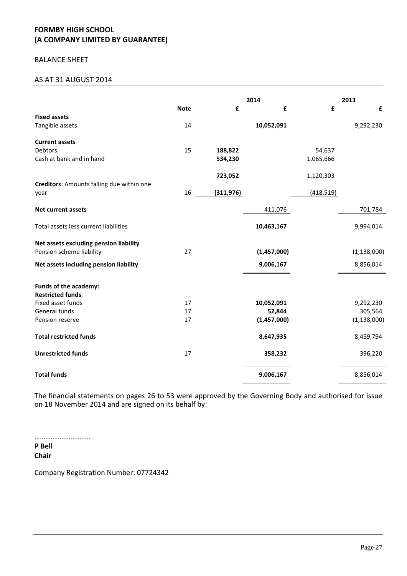### BALANCE SHEET

### AS AT 31 AUGUST 2014

|                                           |             |            | 2014        |            | 2013          |
|-------------------------------------------|-------------|------------|-------------|------------|---------------|
|                                           | <b>Note</b> | £          | £           | £          | £             |
| <b>Fixed assets</b>                       |             |            |             |            |               |
| Tangible assets                           | 14          |            | 10,052,091  |            | 9,292,230     |
| <b>Current assets</b>                     |             |            |             |            |               |
| <b>Debtors</b>                            | 15          | 188,822    |             | 54,637     |               |
| Cash at bank and in hand                  |             | 534,230    |             | 1,065,666  |               |
|                                           |             |            |             |            |               |
|                                           |             | 723,052    |             | 1,120,303  |               |
| Creditors: Amounts falling due within one |             |            |             |            |               |
| year                                      | 16          | (311, 976) |             | (418, 519) |               |
| <b>Net current assets</b>                 |             |            | 411,076     |            | 701,784       |
|                                           |             |            |             |            |               |
| Total assets less current liabilities     |             |            | 10,463,167  |            | 9,994,014     |
| Net assets excluding pension liability    |             |            |             |            |               |
| Pension scheme liability                  | 27          |            | (1,457,000) |            | (1, 138, 000) |
|                                           |             |            |             |            |               |
| Net assets including pension liability    |             |            | 9,006,167   |            | 8,856,014     |
| Funds of the academy:                     |             |            |             |            |               |
| <b>Restricted funds</b>                   |             |            |             |            |               |
| Fixed asset funds                         | 17          |            | 10,052,091  |            | 9,292,230     |
| General funds                             | 17          |            | 52,844      |            | 305,564       |
| Pension reserve                           | 17          |            | (1,457,000) |            | (1, 138, 000) |
| <b>Total restricted funds</b>             |             |            | 8,647,935   |            | 8,459,794     |
| <b>Unrestricted funds</b>                 | 17          |            | 358,232     |            | 396,220       |
| <b>Total funds</b>                        |             |            | 9,006,167   |            | 8,856,014     |
|                                           |             |            |             |            |               |

The financial statements on pages 26 to 53 were approved by the Governing Body and authorised for issue on 18 November 2014 and are signed on its behalf by:

………………………….

**P Bell Chair**

Company Registration Number: 07724342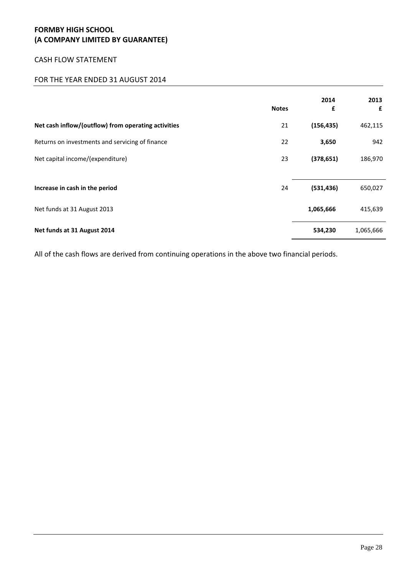### CASH FLOW STATEMENT

# FOR THE YEAR ENDED 31 AUGUST 2014

|                                                     | <b>Notes</b> | 2014<br>£  | 2013<br>£ |
|-----------------------------------------------------|--------------|------------|-----------|
| Net cash inflow/(outflow) from operating activities | 21           | (156, 435) | 462,115   |
| Returns on investments and servicing of finance     | 22           | 3,650      | 942       |
| Net capital income/(expenditure)                    | 23           | (378, 651) | 186,970   |
|                                                     |              |            |           |
| Increase in cash in the period                      | 24           | (531, 436) | 650,027   |
| Net funds at 31 August 2013                         |              | 1,065,666  | 415,639   |
| Net funds at 31 August 2014                         |              | 534,230    | 1,065,666 |

All of the cash flows are derived from continuing operations in the above two financial periods.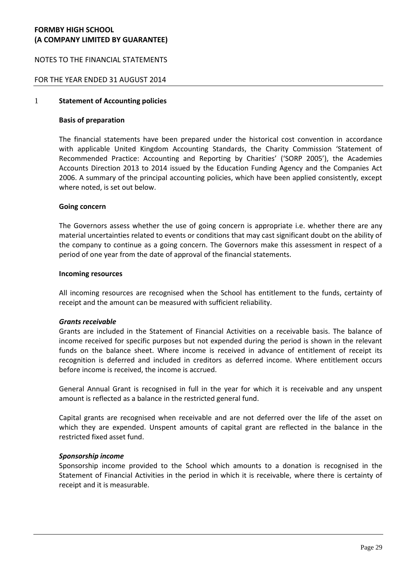### NOTES TO THE FINANCIAL STATEMENTS

### FOR THE YEAR ENDED 31 AUGUST 2014

### 1 **Statement of Accounting policies**

#### **Basis of preparation**

The financial statements have been prepared under the historical cost convention in accordance with applicable United Kingdom Accounting Standards, the Charity Commission 'Statement of Recommended Practice: Accounting and Reporting by Charities' ('SORP 2005'), the Academies Accounts Direction 2013 to 2014 issued by the Education Funding Agency and the Companies Act 2006. A summary of the principal accounting policies, which have been applied consistently, except where noted, is set out below.

#### **Going concern**

The Governors assess whether the use of going concern is appropriate i.e. whether there are any material uncertainties related to events or conditions that may cast significant doubt on the ability of the company to continue as a going concern. The Governors make this assessment in respect of a period of one year from the date of approval of the financial statements.

#### **Incoming resources**

All incoming resources are recognised when the School has entitlement to the funds, certainty of receipt and the amount can be measured with sufficient reliability.

#### *Grants receivable*

Grants are included in the Statement of Financial Activities on a receivable basis. The balance of income received for specific purposes but not expended during the period is shown in the relevant funds on the balance sheet. Where income is received in advance of entitlement of receipt its recognition is deferred and included in creditors as deferred income. Where entitlement occurs before income is received, the income is accrued.

General Annual Grant is recognised in full in the year for which it is receivable and any unspent amount is reflected as a balance in the restricted general fund.

Capital grants are recognised when receivable and are not deferred over the life of the asset on which they are expended. Unspent amounts of capital grant are reflected in the balance in the restricted fixed asset fund.

#### *Sponsorship income*

Sponsorship income provided to the School which amounts to a donation is recognised in the Statement of Financial Activities in the period in which it is receivable, where there is certainty of receipt and it is measurable.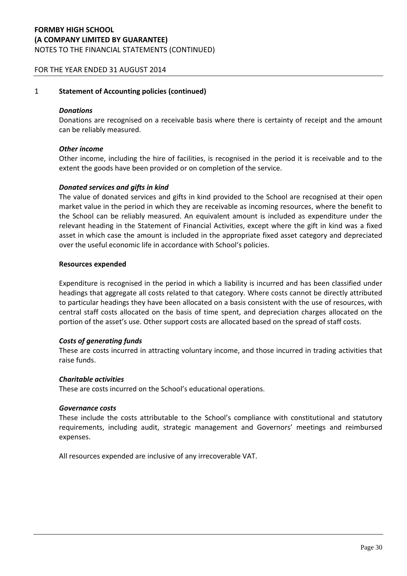# **FORMBY HIGH SCHOOL (A COMPANY LIMITED BY GUARANTEE)** NOTES TO THE FINANCIAL STATEMENTS (CONTINUED)

### FOR THE YEAR ENDED 31 AUGUST 2014

#### 1 **Statement of Accounting policies (continued)**

#### *Donations*

Donations are recognised on a receivable basis where there is certainty of receipt and the amount can be reliably measured.

#### *Other income*

Other income, including the hire of facilities, is recognised in the period it is receivable and to the extent the goods have been provided or on completion of the service.

#### *Donated services and gifts in kind*

The value of donated services and gifts in kind provided to the School are recognised at their open market value in the period in which they are receivable as incoming resources, where the benefit to the School can be reliably measured. An equivalent amount is included as expenditure under the relevant heading in the Statement of Financial Activities, except where the gift in kind was a fixed asset in which case the amount is included in the appropriate fixed asset category and depreciated over the useful economic life in accordance with School's policies.

#### **Resources expended**

Expenditure is recognised in the period in which a liability is incurred and has been classified under headings that aggregate all costs related to that category. Where costs cannot be directly attributed to particular headings they have been allocated on a basis consistent with the use of resources, with central staff costs allocated on the basis of time spent, and depreciation charges allocated on the portion of the asset's use. Other support costs are allocated based on the spread of staff costs.

#### *Costs of generating funds*

These are costs incurred in attracting voluntary income, and those incurred in trading activities that raise funds.

#### *Charitable activities*

These are costs incurred on the School's educational operations.

#### *Governance costs*

These include the costs attributable to the School's compliance with constitutional and statutory requirements, including audit, strategic management and Governors' meetings and reimbursed expenses.

All resources expended are inclusive of any irrecoverable VAT.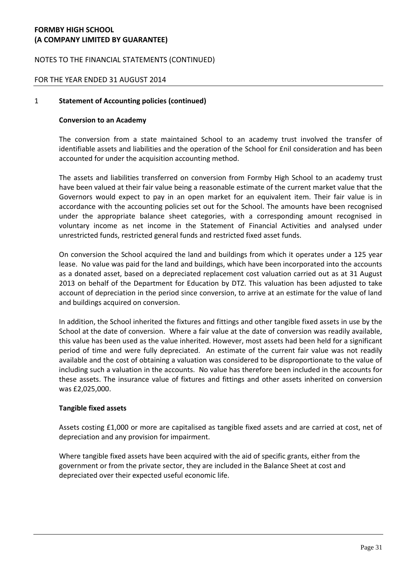### NOTES TO THE FINANCIAL STATEMENTS (CONTINUED)

### FOR THE YEAR ENDED 31 AUGUST 2014

#### 1 **Statement of Accounting policies (continued)**

#### **Conversion to an Academy**

The conversion from a state maintained School to an academy trust involved the transfer of identifiable assets and liabilities and the operation of the School for £nil consideration and has been accounted for under the acquisition accounting method.

The assets and liabilities transferred on conversion from Formby High School to an academy trust have been valued at their fair value being a reasonable estimate of the current market value that the Governors would expect to pay in an open market for an equivalent item. Their fair value is in accordance with the accounting policies set out for the School. The amounts have been recognised under the appropriate balance sheet categories, with a corresponding amount recognised in voluntary income as net income in the Statement of Financial Activities and analysed under unrestricted funds, restricted general funds and restricted fixed asset funds.

On conversion the School acquired the land and buildings from which it operates under a 125 year lease. No value was paid for the land and buildings, which have been incorporated into the accounts as a donated asset, based on a depreciated replacement cost valuation carried out as at 31 August 2013 on behalf of the Department for Education by DTZ. This valuation has been adjusted to take account of depreciation in the period since conversion, to arrive at an estimate for the value of land and buildings acquired on conversion.

In addition, the School inherited the fixtures and fittings and other tangible fixed assets in use by the School at the date of conversion. Where a fair value at the date of conversion was readily available, this value has been used as the value inherited. However, most assets had been held for a significant period of time and were fully depreciated. An estimate of the current fair value was not readily available and the cost of obtaining a valuation was considered to be disproportionate to the value of including such a valuation in the accounts. No value has therefore been included in the accounts for these assets. The insurance value of fixtures and fittings and other assets inherited on conversion was £2,025,000.

#### **Tangible fixed assets**

Assets costing £1,000 or more are capitalised as tangible fixed assets and are carried at cost, net of depreciation and any provision for impairment.

Where tangible fixed assets have been acquired with the aid of specific grants, either from the government or from the private sector, they are included in the Balance Sheet at cost and depreciated over their expected useful economic life.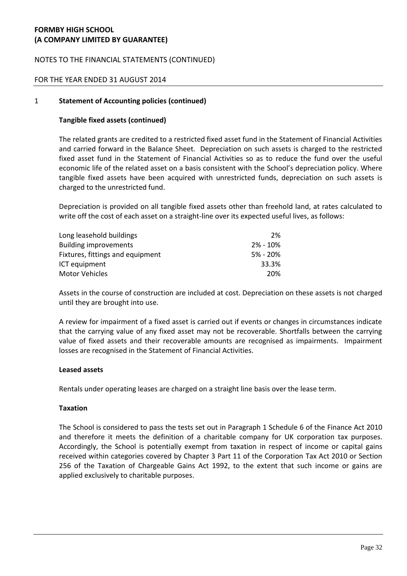## NOTES TO THE FINANCIAL STATEMENTS (CONTINUED)

### FOR THE YEAR ENDED 31 AUGUST 2014

#### 1 **Statement of Accounting policies (continued)**

### **Tangible fixed assets (continued)**

The related grants are credited to a restricted fixed asset fund in the Statement of Financial Activities and carried forward in the Balance Sheet. Depreciation on such assets is charged to the restricted fixed asset fund in the Statement of Financial Activities so as to reduce the fund over the useful economic life of the related asset on a basis consistent with the School's depreciation policy. Where tangible fixed assets have been acquired with unrestricted funds, depreciation on such assets is charged to the unrestricted fund.

Depreciation is provided on all tangible fixed assets other than freehold land, at rates calculated to write off the cost of each asset on a straight-line over its expected useful lives, as follows:

| Long leasehold buildings         | 2%           |
|----------------------------------|--------------|
| <b>Building improvements</b>     | $2\% - 10\%$ |
| Fixtures, fittings and equipment | $5\% - 20\%$ |
| ICT equipment                    | 33.3%        |
| Motor Vehicles                   | 20%          |

Assets in the course of construction are included at cost. Depreciation on these assets is not charged until they are brought into use.

A review for impairment of a fixed asset is carried out if events or changes in circumstances indicate that the carrying value of any fixed asset may not be recoverable. Shortfalls between the carrying value of fixed assets and their recoverable amounts are recognised as impairments. Impairment losses are recognised in the Statement of Financial Activities.

#### **Leased assets**

Rentals under operating leases are charged on a straight line basis over the lease term.

#### **Taxation**

The School is considered to pass the tests set out in Paragraph 1 Schedule 6 of the Finance Act 2010 and therefore it meets the definition of a charitable company for UK corporation tax purposes. Accordingly, the School is potentially exempt from taxation in respect of income or capital gains received within categories covered by Chapter 3 Part 11 of the Corporation Tax Act 2010 or Section 256 of the Taxation of Chargeable Gains Act 1992, to the extent that such income or gains are applied exclusively to charitable purposes.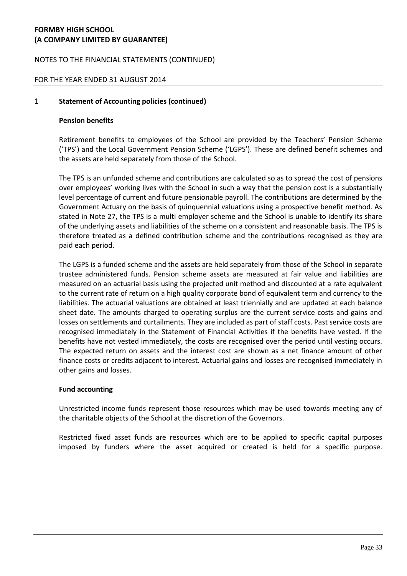### NOTES TO THE FINANCIAL STATEMENTS (CONTINUED)

### FOR THE YEAR ENDED 31 AUGUST 2014

### 1 **Statement of Accounting policies (continued)**

#### **Pension benefits**

Retirement benefits to employees of the School are provided by the Teachers' Pension Scheme ('TPS') and the Local Government Pension Scheme ('LGPS'). These are defined benefit schemes and the assets are held separately from those of the School.

The TPS is an unfunded scheme and contributions are calculated so as to spread the cost of pensions over employees' working lives with the School in such a way that the pension cost is a substantially level percentage of current and future pensionable payroll. The contributions are determined by the Government Actuary on the basis of quinquennial valuations using a prospective benefit method. As stated in Note 27, the TPS is a multi employer scheme and the School is unable to identify its share of the underlying assets and liabilities of the scheme on a consistent and reasonable basis. The TPS is therefore treated as a defined contribution scheme and the contributions recognised as they are paid each period.

The LGPS is a funded scheme and the assets are held separately from those of the School in separate trustee administered funds. Pension scheme assets are measured at fair value and liabilities are measured on an actuarial basis using the projected unit method and discounted at a rate equivalent to the current rate of return on a high quality corporate bond of equivalent term and currency to the liabilities. The actuarial valuations are obtained at least triennially and are updated at each balance sheet date. The amounts charged to operating surplus are the current service costs and gains and losses on settlements and curtailments. They are included as part of staff costs. Past service costs are recognised immediately in the Statement of Financial Activities if the benefits have vested. If the benefits have not vested immediately, the costs are recognised over the period until vesting occurs. The expected return on assets and the interest cost are shown as a net finance amount of other finance costs or credits adjacent to interest. Actuarial gains and losses are recognised immediately in other gains and losses.

#### **Fund accounting**

Unrestricted income funds represent those resources which may be used towards meeting any of the charitable objects of the School at the discretion of the Governors.

Restricted fixed asset funds are resources which are to be applied to specific capital purposes imposed by funders where the asset acquired or created is held for a specific purpose.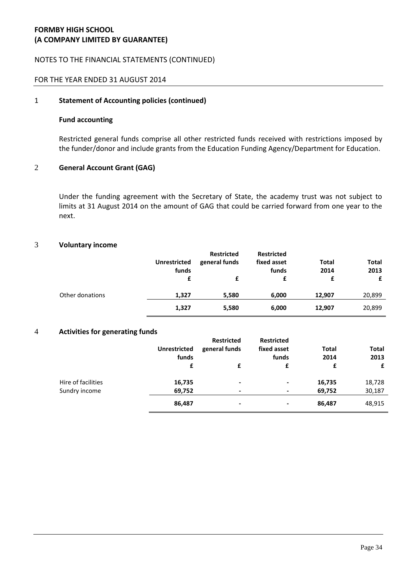### NOTES TO THE FINANCIAL STATEMENTS (CONTINUED)

### FOR THE YEAR ENDED 31 AUGUST 2014

#### 1 **Statement of Accounting policies (continued)**

#### **Fund accounting**

Restricted general funds comprise all other restricted funds received with restrictions imposed by the funder/donor and include grants from the Education Funding Agency/Department for Education.

#### 2 **General Account Grant (GAG)**

Under the funding agreement with the Secretary of State, the academy trust was not subject to limits at 31 August 2014 on the amount of GAG that could be carried forward from one year to the next.

#### 3 **Voluntary income**

|                 | <b>Unrestricted</b><br>funds | <b>Restricted</b><br>general funds | <b>Restricted</b><br>fixed asset<br>funds | Total<br>2014 | <b>Total</b><br>2013 |
|-----------------|------------------------------|------------------------------------|-------------------------------------------|---------------|----------------------|
|                 |                              |                                    | £                                         | £             | £                    |
| Other donations | 1,327                        | 5,580                              | 6,000                                     | 12.907        | 20,899               |
|                 | 1,327                        | 5,580                              | 6,000                                     | 12,907        | 20,899               |

#### 4 **Activities for generating funds**

|                    | <b>Unrestricted</b><br>funds | <b>Restricted</b><br>general funds | <b>Restricted</b><br>fixed asset<br>funds | Total<br>2014 | <b>Total</b><br>2013 |
|--------------------|------------------------------|------------------------------------|-------------------------------------------|---------------|----------------------|
|                    | £                            |                                    | £                                         | £             | £                    |
| Hire of facilities | 16,735                       | $\blacksquare$                     | $\blacksquare$                            | 16,735        | 18,728               |
| Sundry income      | 69,752                       | $\overline{\phantom{a}}$           | $\blacksquare$                            | 69,752        | 30,187               |
|                    | 86,487                       | $\blacksquare$                     | $\blacksquare$                            | 86,487        | 48,915               |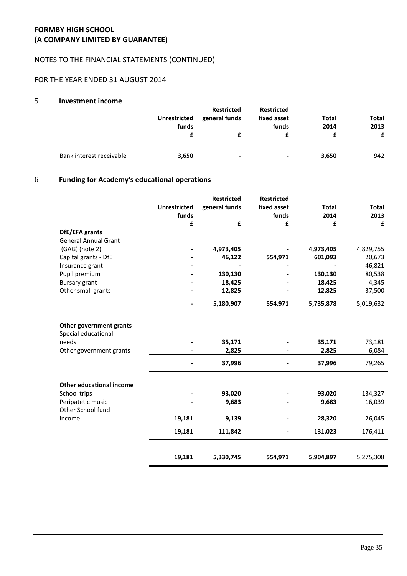# NOTES TO THE FINANCIAL STATEMENTS (CONTINUED)

# FOR THE YEAR ENDED 31 AUGUST 2014

#### 5 **Investment income**

|                          | <b>Unrestricted</b><br>funds | <b>Restricted</b><br>general funds | <b>Restricted</b><br>fixed asset<br>funds | Total<br>2014 | <b>Total</b><br>2013<br>£ |
|--------------------------|------------------------------|------------------------------------|-------------------------------------------|---------------|---------------------------|
| Bank interest receivable | 3,650                        | ٠                                  | ۰                                         | 3,650         | 942                       |

# 6 **Funding for Academy's educational operations**

|                                                |                              | <b>Restricted</b> | <b>Restricted</b>    |                      |               |
|------------------------------------------------|------------------------------|-------------------|----------------------|----------------------|---------------|
|                                                | <b>Unrestricted</b><br>funds | general funds     | fixed asset<br>funds | <b>Total</b><br>2014 | Total<br>2013 |
|                                                | £                            | £                 | £                    | £                    | £             |
| DfE/EFA grants                                 |                              |                   |                      |                      |               |
| <b>General Annual Grant</b>                    |                              |                   |                      |                      |               |
| (GAG) (note 2)                                 |                              | 4,973,405         |                      | 4,973,405            | 4,829,755     |
| Capital grants - DfE                           |                              | 46,122            | 554,971              | 601,093              | 20,673        |
| Insurance grant                                |                              |                   |                      |                      | 46,821        |
| Pupil premium                                  |                              | 130,130           |                      | 130,130              | 80,538        |
| <b>Bursary grant</b>                           |                              | 18,425            |                      | 18,425               | 4,345         |
| Other small grants                             |                              | 12,825            |                      | 12,825               | 37,500        |
|                                                |                              | 5,180,907         | 554,971              | 5,735,878            | 5,019,632     |
| Other government grants<br>Special educational |                              |                   |                      |                      |               |
| needs                                          |                              | 35,171            |                      | 35,171               | 73,181        |
| Other government grants                        |                              | 2,825             |                      | 2,825                | 6,084         |
|                                                |                              | 37,996            |                      | 37,996               | 79,265        |
| <b>Other educational income</b>                |                              |                   |                      |                      |               |
| School trips                                   |                              | 93,020            |                      | 93,020               | 134,327       |
| Peripatetic music<br>Other School fund         |                              | 9,683             |                      | 9,683                | 16,039        |
| income                                         | 19,181                       | 9,139             |                      | 28,320               | 26,045        |
|                                                | 19,181                       | 111,842           |                      | 131,023              | 176,411       |
|                                                | 19,181                       | 5,330,745         | 554,971              | 5,904,897            | 5,275,308     |
|                                                |                              |                   |                      |                      |               |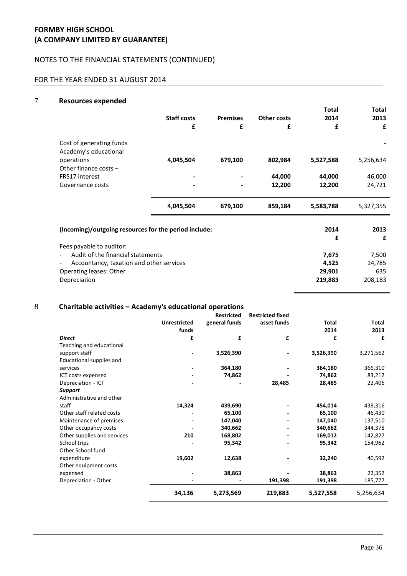### NOTES TO THE FINANCIAL STATEMENTS (CONTINUED)

# FOR THE YEAR ENDED 31 AUGUST 2014

#### 7 **Resources expended**

|                                                                      |                    |                 |                    | Total     | <b>Total</b> |
|----------------------------------------------------------------------|--------------------|-----------------|--------------------|-----------|--------------|
|                                                                      | <b>Staff costs</b> | <b>Premises</b> | <b>Other costs</b> | 2014      | 2013         |
|                                                                      | £                  | £               | £                  | £         | £            |
| Cost of generating funds<br>Academy's educational                    |                    |                 |                    |           |              |
| operations<br>Other finance costs $-$                                | 4,045,504          | 679,100         | 802,984            | 5,527,588 | 5,256,634    |
| <b>FRS17</b> interest                                                |                    |                 | 44,000             | 44,000    | 46,000       |
| Governance costs                                                     |                    |                 | 12,200             | 12,200    | 24,721       |
|                                                                      | 4,045,504          | 679,100         | 859,184            | 5,583,788 | 5,327,355    |
| (Incoming)/outgoing resources for the period include:                |                    |                 |                    | 2014      | 2013         |
|                                                                      |                    |                 |                    | £         | £            |
| Fees payable to auditor:                                             |                    |                 |                    |           |              |
| Audit of the financial statements                                    |                    |                 |                    | 7,675     | 7,500        |
| Accountancy, taxation and other services<br>$\overline{\phantom{a}}$ |                    |                 |                    | 4,525     | 14,785       |
| Operating leases: Other                                              |                    |                 |                    | 29,901    | 635          |
| Depreciation                                                         |                    |                 |                    | 219,883   | 208,183      |

# 8 **Charitable activities – Academy's educational operations**

|                             |                     | <b>Restricted</b> | <b>Restricted fixed</b> |              |              |
|-----------------------------|---------------------|-------------------|-------------------------|--------------|--------------|
|                             | <b>Unrestricted</b> | general funds     | asset funds             | <b>Total</b> | <b>Total</b> |
|                             | funds               |                   |                         | 2014         | 2013         |
| <b>Direct</b>               | £                   | £                 | £                       | £            | £            |
| Teaching and educational    |                     |                   |                         |              |              |
| support staff               |                     | 3,526,390         |                         | 3,526,390    | 3,271,562    |
| Educational supplies and    |                     |                   |                         |              |              |
| services                    |                     | 364,180           |                         | 364,180      | 366,310      |
| ICT costs expensed          |                     | 74,862            |                         | 74,862       | 83,212       |
| Depreciation - ICT          |                     |                   | 28,485                  | 28,485       | 22,406       |
| <b>Support</b>              |                     |                   |                         |              |              |
| Administrative and other    |                     |                   |                         |              |              |
| staff                       | 14,324              | 439,690           |                         | 454,014      | 438,316      |
| Other staff related costs   |                     | 65,100            |                         | 65,100       | 46,430       |
| Maintenance of premises     |                     | 147,040           |                         | 147,040      | 137,510      |
| Other occupancy costs       |                     | 340,662           |                         | 340,662      | 344,378      |
| Other supplies and services | 210                 | 168,802           |                         | 169,012      | 142,827      |
| School trips                |                     | 95,342            |                         | 95,342       | 154,962      |
| Other School fund           |                     |                   |                         |              |              |
| expenditure                 | 19,602              | 12,638            |                         | 32,240       | 40,592       |
| Other equipment costs       |                     |                   |                         |              |              |
| expensed                    |                     | 38,863            |                         | 38,863       | 22,352       |
| Depreciation - Other        |                     |                   | 191,398                 | 191,398      | 185,777      |
|                             | 34,136              | 5,273,569         | 219,883                 | 5,527,558    | 5,256,634    |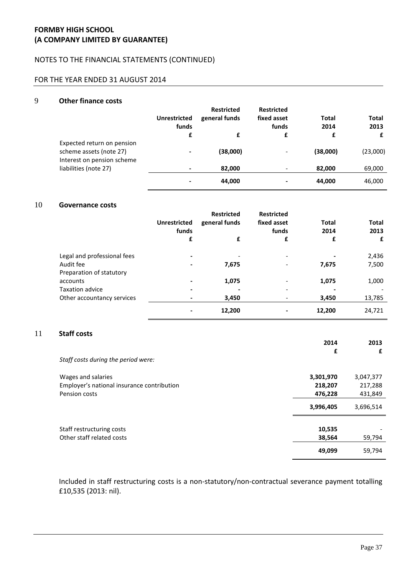### NOTES TO THE FINANCIAL STATEMENTS (CONTINUED)

# FOR THE YEAR ENDED 31 AUGUST 2014

#### 9 **Other finance costs**

|                                                                                     | <b>Unrestricted</b><br>funds | <b>Restricted</b><br>general funds | <b>Restricted</b><br>fixed asset<br>funds | Total<br>2014 | <b>Total</b><br>2013 |
|-------------------------------------------------------------------------------------|------------------------------|------------------------------------|-------------------------------------------|---------------|----------------------|
|                                                                                     | £                            | £                                  | £                                         | £             | £                    |
| Expected return on pension<br>scheme assets (note 27)<br>Interest on pension scheme | $\blacksquare$               | (38,000)                           | $\overline{\phantom{a}}$                  | (38,000)      | (23,000)             |
| liabilities (note 27)                                                               | $\,$                         | 82,000                             | $\overline{\phantom{a}}$                  | 82,000        | 69,000               |
|                                                                                     |                              | 44,000                             | $\blacksquare$                            | 44,000        | 46,000               |

### 10 **Governance costs**

|                             | <b>Unrestricted</b><br>funds | <b>Restricted</b><br>general funds | <b>Restricted</b><br>fixed asset<br>funds | <b>Total</b><br>2014 | <b>Total</b><br>2013 |
|-----------------------------|------------------------------|------------------------------------|-------------------------------------------|----------------------|----------------------|
|                             | £                            | £                                  | £                                         | £                    | £                    |
| Legal and professional fees | $\overline{\phantom{0}}$     |                                    | $\overline{\phantom{0}}$                  |                      | 2,436                |
| Audit fee                   | ٠                            | 7,675                              | $\overline{\phantom{0}}$                  | 7,675                | 7,500                |
| Preparation of statutory    |                              |                                    |                                           |                      |                      |
| accounts                    |                              | 1,075                              |                                           | 1,075                | 1,000                |
| Taxation advice             | ٠                            |                                    |                                           |                      |                      |
| Other accountancy services  |                              | 3,450                              |                                           | 3,450                | 13,785               |
|                             |                              | 12,200                             |                                           | 12,200               | 24,721               |

# 11 **Staff costs**

|                                            | 2014      | 2013      |
|--------------------------------------------|-----------|-----------|
|                                            | £         | £         |
| Staff costs during the period were:        |           |           |
| Wages and salaries                         | 3,301,970 | 3,047,377 |
| Employer's national insurance contribution | 218,207   | 217,288   |
| Pension costs                              | 476,228   | 431,849   |
|                                            | 3,996,405 | 3,696,514 |
| Staff restructuring costs                  | 10,535    |           |
| Other staff related costs                  | 38,564    | 59,794    |
|                                            | 49,099    | 59,794    |

Included in staff restructuring costs is a non-statutory/non-contractual severance payment totalling £10,535 (2013: nil).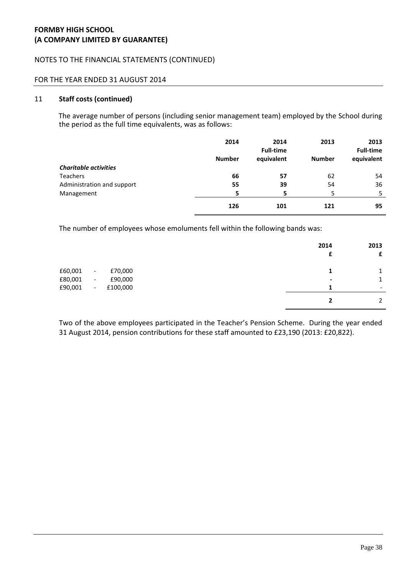### NOTES TO THE FINANCIAL STATEMENTS (CONTINUED)

#### FOR THE YEAR ENDED 31 AUGUST 2014

### 11 **Staff costs (continued)**

The average number of persons (including senior management team) employed by the School during the period as the full time equivalents, was as follows:

|                              | 2014          | 2014<br><b>Full-time</b> | 2013          | 2013<br><b>Full-time</b> |
|------------------------------|---------------|--------------------------|---------------|--------------------------|
|                              | <b>Number</b> | equivalent               | <b>Number</b> | equivalent               |
| <b>Charitable activities</b> |               |                          |               |                          |
| <b>Teachers</b>              | 66            | 57                       | 62            | 54                       |
| Administration and support   | 55            | 39                       | 54            | 36                       |
| Management                   | 5             | 5                        | 5             | 5                        |
|                              | 126           | 101                      | 121           | 95                       |

The number of employees whose emoluments fell within the following bands was:

|         |                          |          | 2014<br>£ | 2013<br>£                |
|---------|--------------------------|----------|-----------|--------------------------|
| £60,001 | $\overline{\phantom{a}}$ | £70,000  |           | 1<br>÷.                  |
| £80,001 | $\overline{\phantom{a}}$ | £90,000  | ٠         | 1                        |
| £90,001 | $\blacksquare$           | £100,000 | я         | $\overline{\phantom{0}}$ |
|         |                          |          |           | 2                        |

Two of the above employees participated in the Teacher's Pension Scheme. During the year ended 31 August 2014, pension contributions for these staff amounted to £23,190 (2013: £20,822).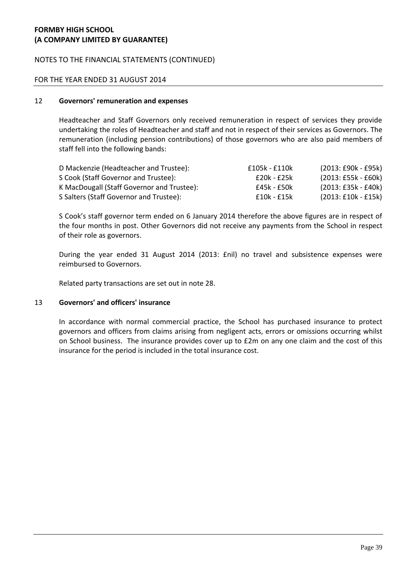### NOTES TO THE FINANCIAL STATEMENTS (CONTINUED)

#### FOR THE YEAR ENDED 31 AUGUST 2014

### 12 **Governors' remuneration and expenses**

Headteacher and Staff Governors only received remuneration in respect of services they provide undertaking the roles of Headteacher and staff and not in respect of their services as Governors. The remuneration (including pension contributions) of those governors who are also paid members of staff fell into the following bands:

| D Mackenzie (Headteacher and Trustee):     | £105k - £110k | $(2013:£90k - £95k)$  |
|--------------------------------------------|---------------|-----------------------|
| S Cook (Staff Governor and Trustee):       | £20k - £25k   | $(2013: E55k - E60k)$ |
| K MacDougall (Staff Governor and Trustee): | £45k - £50k   | $(2013: E35k - E40k)$ |
| S Salters (Staff Governor and Trustee):    | £10k - £15k   | $(2013:£10k - £15k)$  |

S Cook's staff governor term ended on 6 January 2014 therefore the above figures are in respect of the four months in post. Other Governors did not receive any payments from the School in respect of their role as governors.

During the year ended 31 August 2014 (2013: £nil) no travel and subsistence expenses were reimbursed to Governors.

Related party transactions are set out in note 28.

#### 13 **Governors' and officers' insurance**

In accordance with normal commercial practice, the School has purchased insurance to protect governors and officers from claims arising from negligent acts, errors or omissions occurring whilst on School business. The insurance provides cover up to £2m on any one claim and the cost of this insurance for the period is included in the total insurance cost.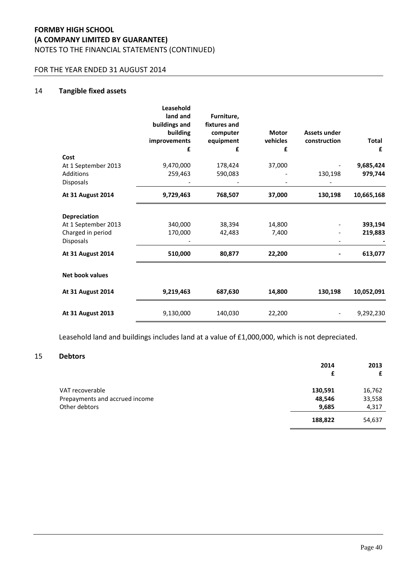# **FORMBY HIGH SCHOOL (A COMPANY LIMITED BY GUARANTEE)** NOTES TO THE FINANCIAL STATEMENTS (CONTINUED)

### FOR THE YEAR ENDED 31 AUGUST 2014

### 14 **Tangible fixed assets**

| Cost<br>At 1 September 2013<br><b>Additions</b><br>Disposals                 | Leasehold<br>land and<br>buildings and<br>building<br>improvements<br>£<br>9,470,000<br>259,463 | Furniture,<br>fixtures and<br>computer<br>equipment<br>£<br>178,424<br>590,083 | <b>Motor</b><br>vehicles<br>£<br>37,000 | <b>Assets under</b><br>construction<br>130,198 | Total<br>£<br>9,685,424<br>979,744 |
|------------------------------------------------------------------------------|-------------------------------------------------------------------------------------------------|--------------------------------------------------------------------------------|-----------------------------------------|------------------------------------------------|------------------------------------|
| <b>At 31 August 2014</b>                                                     | 9,729,463                                                                                       | 768,507                                                                        | 37,000                                  | 130,198                                        | 10,665,168                         |
| <b>Depreciation</b><br>At 1 September 2013<br>Charged in period<br>Disposals | 340,000<br>170,000                                                                              | 38,394<br>42,483                                                               | 14,800<br>7,400                         |                                                | 393,194<br>219,883                 |
| <b>At 31 August 2014</b>                                                     | 510,000                                                                                         | 80,877                                                                         | 22,200                                  |                                                | 613,077                            |
| <b>Net book values</b>                                                       |                                                                                                 |                                                                                |                                         |                                                |                                    |
| <b>At 31 August 2014</b>                                                     | 9,219,463                                                                                       | 687,630                                                                        | 14,800                                  | 130,198                                        | 10,052,091                         |
| <b>At 31 August 2013</b>                                                     | 9,130,000                                                                                       | 140,030                                                                        | 22,200                                  |                                                | 9,292,230                          |

Leasehold land and buildings includes land at a value of £1,000,000, which is not depreciated.

# 15 **Debtors**

|                                | 2014<br>£ | 2013<br>£ |
|--------------------------------|-----------|-----------|
| VAT recoverable                | 130,591   | 16,762    |
| Prepayments and accrued income | 48,546    | 33,558    |
| Other debtors                  | 9,685     | 4,317     |
|                                | 188,822   | 54,637    |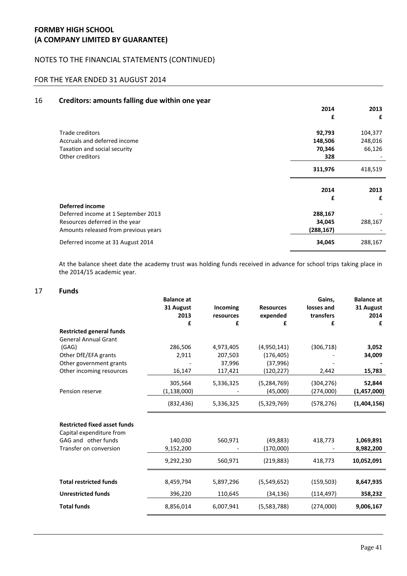### NOTES TO THE FINANCIAL STATEMENTS (CONTINUED)

# FOR THE YEAR ENDED 31 AUGUST 2014

#### 16 **Creditors: amounts falling due within one year**

|                                      | 2014       | 2013    |
|--------------------------------------|------------|---------|
|                                      | £          | £       |
| Trade creditors                      | 92,793     | 104,377 |
| Accruals and deferred income         | 148,506    | 248,016 |
| Taxation and social security         | 70,346     | 66,126  |
| Other creditors                      | 328        |         |
|                                      | 311,976    | 418,519 |
|                                      |            |         |
|                                      | 2014       | 2013    |
|                                      | £          | £       |
| <b>Deferred income</b>               |            |         |
| Deferred income at 1 September 2013  | 288,167    |         |
| Resources deferred in the year       | 34,045     | 288,167 |
| Amounts released from previous years | (288, 167) |         |

At the balance sheet date the academy trust was holding funds received in advance for school trips taking place in the 2014/15 academic year.

#### 17 **Funds**

|                                                                 | <b>Balance at</b><br>31 August | Incoming  | <b>Resources</b> | Gains.<br>losses and | <b>Balance at</b><br>31 August |
|-----------------------------------------------------------------|--------------------------------|-----------|------------------|----------------------|--------------------------------|
|                                                                 | 2013                           | resources | expended         | transfers            | 2014                           |
|                                                                 | £                              | £         | £                | £                    | £                              |
| <b>Restricted general funds</b><br><b>General Annual Grant</b>  |                                |           |                  |                      |                                |
| (GAG)                                                           | 286,506                        | 4,973,405 | (4,950,141)      | (306, 718)           | 3,052                          |
| Other DfE/EFA grants                                            | 2,911                          | 207,503   | (176, 405)       |                      | 34,009                         |
| Other government grants                                         |                                | 37,996    | (37,996)         |                      |                                |
| Other incoming resources                                        | 16,147                         | 117,421   | (120, 227)       | 2,442                | 15,783                         |
|                                                                 | 305,564                        | 5,336,325 | (5, 284, 769)    | (304, 276)           | 52,844                         |
| Pension reserve                                                 | (1, 138, 000)                  |           | (45,000)         | (274,000)            | (1,457,000)                    |
|                                                                 | (832, 436)                     | 5,336,325 | (5,329,769)      | (578, 276)           | (1,404,156)                    |
| <b>Restricted fixed asset funds</b><br>Capital expenditure from |                                |           |                  |                      |                                |
| GAG and other funds                                             | 140,030                        | 560,971   | (49, 883)        | 418,773              | 1,069,891                      |
| Transfer on conversion                                          | 9,152,200                      |           | (170,000)        |                      | 8,982,200                      |
|                                                                 | 9,292,230                      | 560,971   | (219, 883)       | 418,773              | 10,052,091                     |
| <b>Total restricted funds</b>                                   | 8,459,794                      | 5,897,296 | (5,549,652)      | (159, 503)           | 8,647,935                      |
| <b>Unrestricted funds</b>                                       | 396,220                        | 110,645   | (34, 136)        | (114, 497)           | 358,232                        |
| <b>Total funds</b>                                              | 8,856,014                      | 6,007,941 | (5,583,788)      | (274,000)            | 9,006,167                      |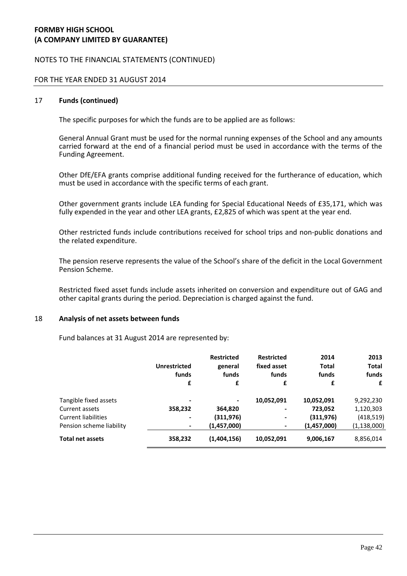### NOTES TO THE FINANCIAL STATEMENTS (CONTINUED)

#### FOR THE YEAR ENDED 31 AUGUST 2014

#### 17 **Funds (continued)**

The specific purposes for which the funds are to be applied are as follows:

General Annual Grant must be used for the normal running expenses of the School and any amounts carried forward at the end of a financial period must be used in accordance with the terms of the Funding Agreement.

Other DfE/EFA grants comprise additional funding received for the furtherance of education, which must be used in accordance with the specific terms of each grant.

Other government grants include LEA funding for Special Educational Needs of £35,171, which was fully expended in the year and other LEA grants, £2,825 of which was spent at the year end.

Other restricted funds include contributions received for school trips and non-public donations and the related expenditure.

The pension reserve represents the value of the School's share of the deficit in the Local Government Pension Scheme.

Restricted fixed asset funds include assets inherited on conversion and expenditure out of GAG and other capital grants during the period. Depreciation is charged against the fund.

#### 18 **Analysis of net assets between funds**

Fund balances at 31 August 2014 are represented by:

|                            | <b>Unrestricted</b><br>funds<br>£ | <b>Restricted</b><br>general<br>funds<br>£ | <b>Restricted</b><br>fixed asset<br>funds<br>£ | 2014<br><b>Total</b><br>funds<br>£ | 2013<br><b>Total</b><br>funds<br>£ |
|----------------------------|-----------------------------------|--------------------------------------------|------------------------------------------------|------------------------------------|------------------------------------|
| Tangible fixed assets      |                                   |                                            | 10,052,091                                     | 10,052,091                         | 9,292,230                          |
| Current assets             | 358,232                           | 364,820                                    |                                                | 723,052                            | 1,120,303                          |
| <b>Current liabilities</b> | $\blacksquare$                    | (311,976)                                  |                                                | (311,976)                          | (418, 519)                         |
| Pension scheme liability   |                                   | (1,457,000)                                |                                                | (1,457,000)                        | (1, 138, 000)                      |
| <b>Total net assets</b>    | 358,232                           | (1,404,156)                                | 10,052,091                                     | 9,006,167                          | 8,856,014                          |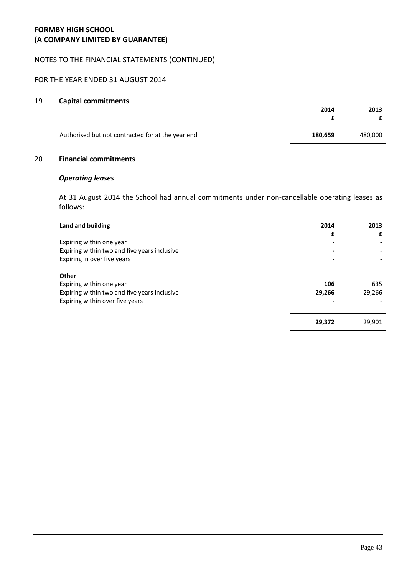### NOTES TO THE FINANCIAL STATEMENTS (CONTINUED)

# FOR THE YEAR ENDED 31 AUGUST 2014

#### 19 **Capital commitments**

|                                                   | 2014    |         |
|---------------------------------------------------|---------|---------|
|                                                   |         | £       |
| Authorised but not contracted for at the year end | 180,659 | 480,000 |

### 20 **Financial commitments**

### *Operating leases*

At 31 August 2014 the School had annual commitments under non-cancellable operating leases as follows:

| Land and building                            | 2014   | 2013   |
|----------------------------------------------|--------|--------|
|                                              | £      | £      |
| Expiring within one year                     |        |        |
| Expiring within two and five years inclusive |        |        |
| Expiring in over five years                  |        |        |
| Other                                        |        |        |
| Expiring within one year                     | 106    | 635    |
| Expiring within two and five years inclusive | 29,266 | 29.266 |
| Expiring within over five years              |        |        |
|                                              | 29,372 | 29,901 |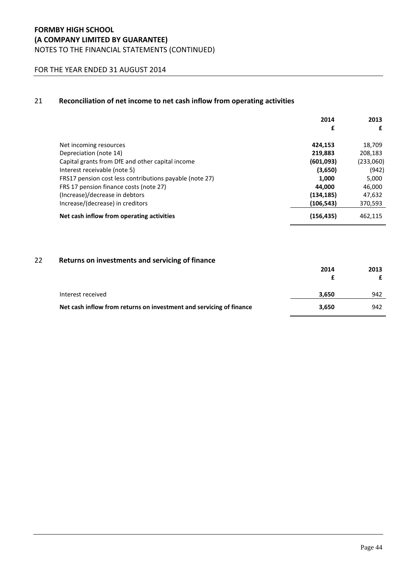### FOR THE YEAR ENDED 31 AUGUST 2014

#### 21 **Reconciliation of net income to net cash inflow from operating activities**

|                                                         | 2014       | 2013      |
|---------------------------------------------------------|------------|-----------|
|                                                         | £          | £         |
| Net incoming resources                                  | 424,153    | 18,709    |
| Depreciation (note 14)                                  | 219,883    | 208,183   |
| Capital grants from DfE and other capital income        | (601,093)  | (233,060) |
| Interest receivable (note 5)                            | (3,650)    | (942)     |
| FRS17 pension cost less contributions payable (note 27) | 1.000      | 5,000     |
| FRS 17 pension finance costs (note 27)                  | 44.000     | 46.000    |
| (Increase)/decrease in debtors                          | (134, 185) | 47,632    |
| Increase/(decrease) in creditors                        | (106, 543) | 370,593   |
| Net cash inflow from operating activities               | (156, 435) | 462.115   |

# 22 **Returns on investments and servicing of finance**

|                                                                     | 2014  | 2013 |
|---------------------------------------------------------------------|-------|------|
|                                                                     |       |      |
|                                                                     |       |      |
| Interest received                                                   | 3.650 | 942  |
| Net cash inflow from returns on investment and servicing of finance | 3.650 | 942  |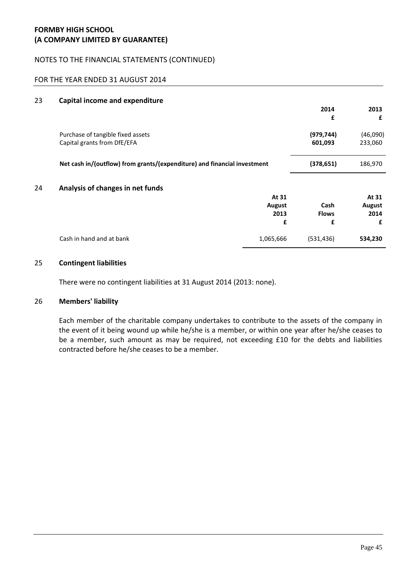### NOTES TO THE FINANCIAL STATEMENTS (CONTINUED)

### FOR THE YEAR ENDED 31 AUGUST 2014

| 23 | <b>Capital income and expenditure</b>                                    |           |              |          |
|----|--------------------------------------------------------------------------|-----------|--------------|----------|
|    |                                                                          |           | 2014         | 2013     |
|    |                                                                          |           | £            | £        |
|    | Purchase of tangible fixed assets                                        |           | (979, 744)   | (46,090) |
|    | Capital grants from DfE/EFA                                              |           | 601,093      | 233,060  |
|    | Net cash in/(outflow) from grants/(expenditure) and financial investment |           | (378, 651)   | 186,970  |
| 24 | Analysis of changes in net funds                                         |           |              |          |
|    |                                                                          | At 31     |              | At 31    |
|    |                                                                          | August    | Cash         | August   |
|    |                                                                          | 2013      | <b>Flows</b> | 2014     |
|    |                                                                          | £         | £            | £        |
|    | Cash in hand and at bank                                                 | 1,065,666 | (531, 436)   | 534,230  |

### 25 **Contingent liabilities**

There were no contingent liabilities at 31 August 2014 (2013: none).

#### 26 **Members' liability**

Each member of the charitable company undertakes to contribute to the assets of the company in the event of it being wound up while he/she is a member, or within one year after he/she ceases to be a member, such amount as may be required, not exceeding £10 for the debts and liabilities contracted before he/she ceases to be a member.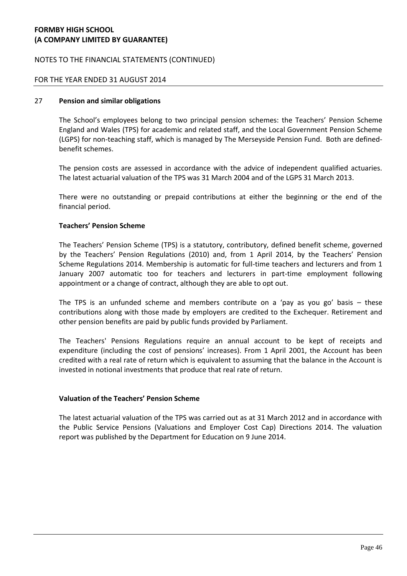### NOTES TO THE FINANCIAL STATEMENTS (CONTINUED)

### FOR THE YEAR ENDED 31 AUGUST 2014

### 27 **Pension and similar obligations**

The School's employees belong to two principal pension schemes: the Teachers' Pension Scheme England and Wales (TPS) for academic and related staff, and the Local Government Pension Scheme (LGPS) for non-teaching staff, which is managed by The Merseyside Pension Fund. Both are definedbenefit schemes.

The pension costs are assessed in accordance with the advice of independent qualified actuaries. The latest actuarial valuation of the TPS was 31 March 2004 and of the LGPS 31 March 2013.

There were no outstanding or prepaid contributions at either the beginning or the end of the financial period.

### **Teachers' Pension Scheme**

The Teachers' Pension Scheme (TPS) is a statutory, contributory, defined benefit scheme, governed by the Teachers' Pension Regulations (2010) and, from 1 April 2014, by the Teachers' Pension Scheme Regulations 2014. Membership is automatic for full-time teachers and lecturers and from 1 January 2007 automatic too for teachers and lecturers in part-time employment following appointment or a change of contract, although they are able to opt out.

The TPS is an unfunded scheme and members contribute on a 'pay as you go' basis  $-$  these contributions along with those made by employers are credited to the Exchequer. Retirement and other pension benefits are paid by public funds provided by Parliament.

The Teachers' Pensions Regulations require an annual account to be kept of receipts and expenditure (including the cost of pensions' increases). From 1 April 2001, the Account has been credited with a real rate of return which is equivalent to assuming that the balance in the Account is invested in notional investments that produce that real rate of return.

### **Valuation of the Teachers' Pension Scheme**

The latest actuarial valuation of the TPS was carried out as at 31 March 2012 and in accordance with the Public Service Pensions (Valuations and Employer Cost Cap) Directions 2014. The valuation report was published by the Department for Education on 9 June 2014.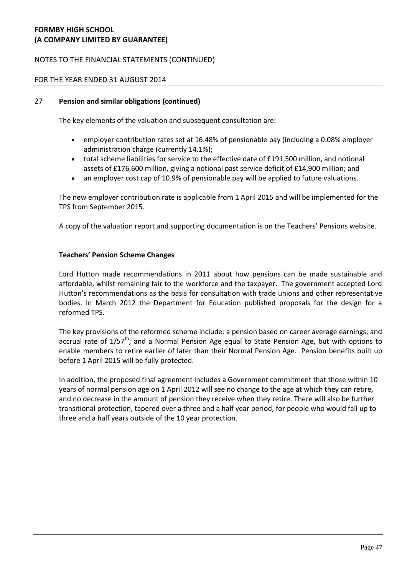# NOTES TO THE FINANCIAL STATEMENTS (CONTINUED)

### FOR THE YEAR ENDED 31 AUGUST 2014

### 27 **Pension and similar obligations (continued)**

The key elements of the valuation and subsequent consultation are:

- employer contribution rates set at 16.48% of pensionable pay (including a 0.08% employer administration charge (currently 14.1%);
- total scheme liabilities for service to the effective date of £191,500 million, and notional assets of £176,600 million, giving a notional past service deficit of £14,900 million; and
- an employer cost cap of 10.9% of pensionable pay will be applied to future valuations.

The new employer contribution rate is applicable from 1 April 2015 and will be implemented for the TPS from September 2015.

A copy of the valuation report and supporting documentation is on the [Teachers' Pensions website](https://www.teacherspensions.co.uk/news/employers/2014/06/publication-of-the-valuation-report.aspx).

### **Teachers' Pension Scheme Changes**

Lord Hutton made recommendations in 2011 about how pensions can be made sustainable and affordable, whilst remaining fair to the workforce and the taxpayer. The government accepted Lord Hutton's recommendations as the basis for consultation with trade unions and other representative bodies. In March 2012 the Department for Education published proposals for the design for a reformed TPS.

The key provisions of the reformed scheme include: a pension based on career average earnings; and accrual rate of  $1/57^{th}$ ; and a Normal Pension Age equal to State Pension Age, but with options to enable members to retire earlier of later than their Normal Pension Age. Pension benefits built up before 1 April 2015 will be fully protected.

In addition, the proposed final agreement includes a Government commitment that those within 10 years of normal pension age on 1 April 2012 will see no change to the age at which they can retire, and no decrease in the amount of pension they receive when they retire. There will also be further transitional protection, tapered over a three and a half year period, for people who would fall up to three and a half years outside of the 10 year protection.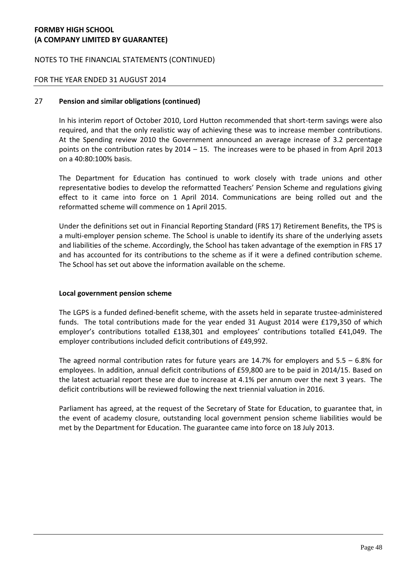### NOTES TO THE FINANCIAL STATEMENTS (CONTINUED)

### FOR THE YEAR ENDED 31 AUGUST 2014

### 27 **Pension and similar obligations (continued)**

In his interim report of October 2010, Lord Hutton recommended that short-term savings were also required, and that the only realistic way of achieving these was to increase member contributions. At the Spending review 2010 the Government announced an average increase of 3.2 percentage points on the contribution rates by  $2014 - 15$ . The increases were to be phased in from April 2013 on a 40:80:100% basis.

The Department for Education has continued to work closely with trade unions and other representative bodies to develop the reformatted Teachers' Pension Scheme and regulations giving effect to it came into force on 1 April 2014. Communications are being rolled out and the reformatted scheme will commence on 1 April 2015.

Under the definitions set out in Financial Reporting Standard (FRS 17) Retirement Benefits, the TPS is a multi-employer pension scheme. The School is unable to identify its share of the underlying assets and liabilities of the scheme. Accordingly, the School has taken advantage of the exemption in FRS 17 and has accounted for its contributions to the scheme as if it were a defined contribution scheme. The School has set out above the information available on the scheme.

### **Local government pension scheme**

The LGPS is a funded defined-benefit scheme, with the assets held in separate trustee-administered funds. The total contributions made for the year ended 31 August 2014 were £179**,**350 of which employer's contributions totalled £138,301 and employees' contributions totalled £41,049. The employer contributions included deficit contributions of £49,992.

The agreed normal contribution rates for future years are 14.7% for employers and  $5.5 - 6.8\%$  for employees. In addition, annual deficit contributions of £59,800 are to be paid in 2014/15. Based on the latest actuarial report these are due to increase at 4.1% per annum over the next 3 years. The deficit contributions will be reviewed following the next triennial valuation in 2016.

Parliament has agreed, at the request of the Secretary of State for Education, to guarantee that, in the event of academy closure, outstanding local government pension scheme liabilities would be met by the Department for Education. The guarantee came into force on 18 July 2013.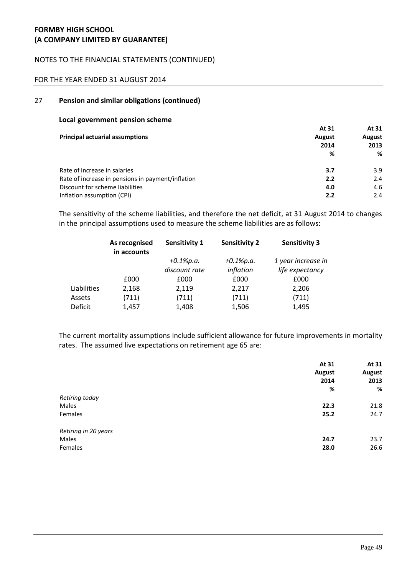# NOTES TO THE FINANCIAL STATEMENTS (CONTINUED)

### FOR THE YEAR ENDED 31 AUGUST 2014

#### 27 **Pension and similar obligations (continued)**

#### **Local government pension scheme**

|                                                   | At 31         | At 31  |
|---------------------------------------------------|---------------|--------|
| <b>Principal actuarial assumptions</b>            | <b>August</b> | August |
|                                                   | 2014          | 2013   |
|                                                   | %             | %      |
| Rate of increase in salaries                      | 3.7           | 3.9    |
| Rate of increase in pensions in payment/inflation | 2.2           | 2.4    |
| Discount for scheme liabilities                   | 4.0           | 4.6    |
| Inflation assumption (CPI)                        | 2.2           | 2.4    |

The sensitivity of the scheme liabilities, and therefore the net deficit, at 31 August 2014 to changes in the principal assumptions used to measure the scheme liabilities are as follows:

|             | As recognised<br>in accounts | Sensitivity 1 | <b>Sensitivity 2</b> | <b>Sensitivity 3</b> |
|-------------|------------------------------|---------------|----------------------|----------------------|
|             |                              | $+0.1\%p.a.$  | $+0.1\%p.a.$         | 1 year increase in   |
|             |                              | discount rate | inflation            | life expectancy      |
|             | £000                         | £000          | £000                 | £000                 |
| Liabilities | 2,168                        | 2,119         | 2,217                | 2,206                |
| Assets      | (711)                        | (711)         | (711)                | (711)                |
| Deficit     | 1,457                        | 1,408         | 1,506                | 1,495                |

The current mortality assumptions include sufficient allowance for future improvements in mortality rates. The assumed live expectations on retirement age 65 are:

|                      | At 31<br><b>August</b><br>2014 | At 31<br><b>August</b><br>2013 |
|----------------------|--------------------------------|--------------------------------|
|                      | %                              | %                              |
| Retiring today       |                                |                                |
| Males                | 22.3                           | 21.8                           |
| Females              | 25.2                           | 24.7                           |
| Retiring in 20 years |                                |                                |
| Males                | 24.7                           | 23.7                           |
| Females              | 28.0                           | 26.6                           |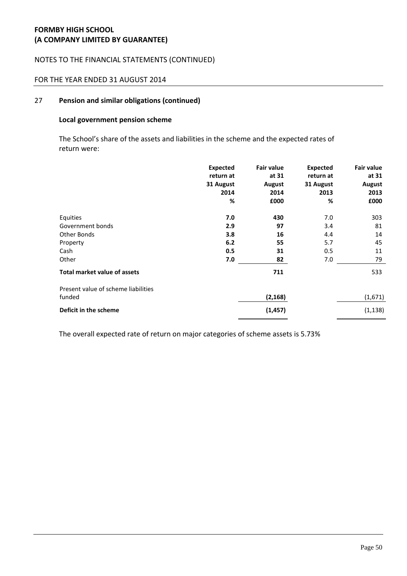### NOTES TO THE FINANCIAL STATEMENTS (CONTINUED)

# FOR THE YEAR ENDED 31 AUGUST 2014

#### 27 **Pension and similar obligations (continued)**

# **Local government pension scheme**

The School's share of the assets and liabilities in the scheme and the expected rates of return were:

|                                     | <b>Expected</b><br>return at<br>31 August<br>2014<br>% | <b>Fair value</b><br>at 31<br>August<br>2014<br>£000 | <b>Expected</b><br>return at<br>31 August<br>2013<br>% | <b>Fair value</b><br>at 31<br><b>August</b><br>2013<br>£000 |
|-------------------------------------|--------------------------------------------------------|------------------------------------------------------|--------------------------------------------------------|-------------------------------------------------------------|
| Equities                            | 7.0                                                    | 430                                                  | 7.0                                                    | 303                                                         |
| Government bonds                    | 2.9                                                    | 97                                                   | 3.4                                                    | 81                                                          |
| Other Bonds                         | 3.8                                                    | 16                                                   | 4.4                                                    | 14                                                          |
| Property                            | 6.2                                                    | 55                                                   | 5.7                                                    | 45                                                          |
| Cash                                | 0.5                                                    | 31                                                   | 0.5                                                    | 11                                                          |
| Other                               | 7.0                                                    | 82                                                   | 7.0                                                    | 79                                                          |
| <b>Total market value of assets</b> |                                                        | 711                                                  |                                                        | 533                                                         |
| Present value of scheme liabilities |                                                        |                                                      |                                                        |                                                             |
| funded                              |                                                        | (2, 168)                                             |                                                        | (1,671)                                                     |
| Deficit in the scheme               |                                                        | (1, 457)                                             |                                                        | (1, 138)                                                    |

The overall expected rate of return on major categories of scheme assets is 5.73%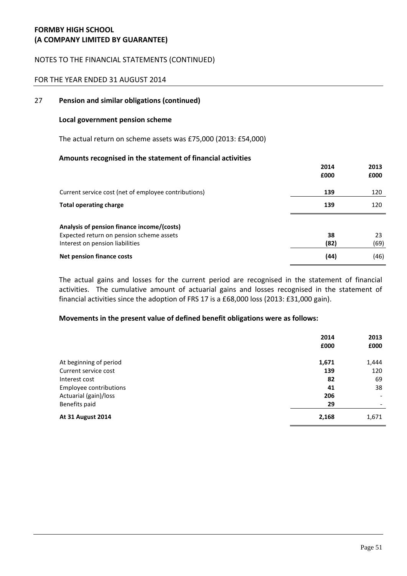### NOTES TO THE FINANCIAL STATEMENTS (CONTINUED)

### FOR THE YEAR ENDED 31 AUGUST 2014

### 27 **Pension and similar obligations (continued)**

#### **Local government pension scheme**

The actual return on scheme assets was £75,000 (2013: £54,000)

#### **Amounts recognised in the statement of financial activities**

|                                                                                                                           | 2014<br>£000 | 2013<br>£000 |
|---------------------------------------------------------------------------------------------------------------------------|--------------|--------------|
| Current service cost (net of employee contributions)                                                                      | 139          | 120          |
| <b>Total operating charge</b>                                                                                             | 139          | 120          |
| Analysis of pension finance income/(costs)<br>Expected return on pension scheme assets<br>Interest on pension liabilities | 38<br>(82)   | 23<br>(69)   |
| Net pension finance costs                                                                                                 | (44)         | (46)         |

The actual gains and losses for the current period are recognised in the statement of financial activities. The cumulative amount of actuarial gains and losses recognised in the statement of financial activities since the adoption of FRS 17 is a £68,000 loss (2013: £31,000 gain).

#### **Movements in the present value of defined benefit obligations were as follows:**

|                          | 2014  | 2013                         |
|--------------------------|-------|------------------------------|
|                          | £000  | £000                         |
| At beginning of period   | 1,671 | 1,444                        |
| Current service cost     | 139   | 120                          |
| Interest cost            | 82    | 69                           |
| Employee contributions   | 41    | 38                           |
| Actuarial (gain)/loss    | 206   | $\qquad \qquad \blacksquare$ |
| Benefits paid            | 29    |                              |
| <b>At 31 August 2014</b> | 2,168 | 1,671                        |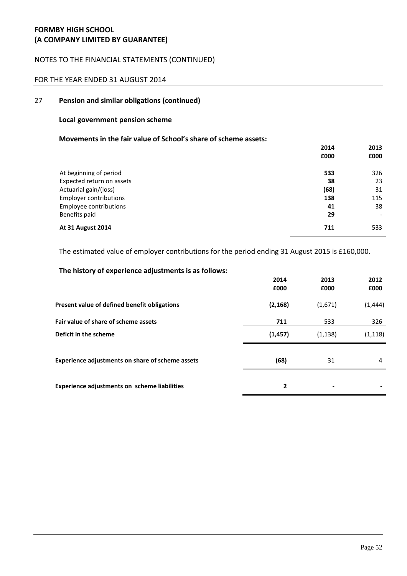### NOTES TO THE FINANCIAL STATEMENTS (CONTINUED)

### FOR THE YEAR ENDED 31 AUGUST 2014

#### 27 **Pension and similar obligations (continued)**

### **Local government pension scheme**

# **Movements in the fair value of School's share of scheme assets:**

|                               | 2014 | 2013 |
|-------------------------------|------|------|
|                               | £000 | £000 |
| At beginning of period        | 533  | 326  |
| Expected return on assets     | 38   | 23   |
| Actuarial gain/(loss)         | (68) | 31   |
| <b>Employer contributions</b> | 138  | 115  |
| Employee contributions        | 41   | 38   |
| Benefits paid                 | 29   |      |
| <b>At 31 August 2014</b>      | 711  | 533  |

The estimated value of employer contributions for the period ending 31 August 2015 is £160,000.

| The history of experience adjustments is as follows: |          |                          |          |
|------------------------------------------------------|----------|--------------------------|----------|
|                                                      | 2014     | 2013                     | 2012     |
|                                                      | £000     | £000                     | £000     |
| Present value of defined benefit obligations         | (2, 168) | (1,671)                  | (1, 444) |
| Fair value of share of scheme assets                 | 711      | 533                      | 326      |
| Deficit in the scheme                                | (1, 457) | (1, 138)                 | (1, 118) |
| Experience adjustments on share of scheme assets     | (68)     | 31                       | 4        |
| Experience adjustments on scheme liabilities         | 2        | $\overline{\phantom{a}}$ |          |

# **The history of experience adjustments is as follows:**